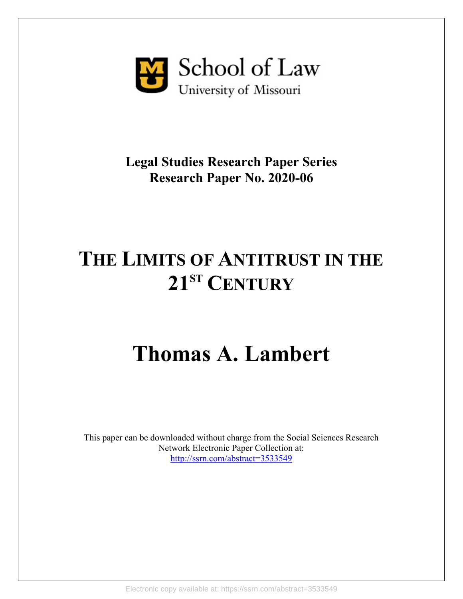

### **Legal Studies Research Paper Series Research Paper No. 2020-06**

## **THE LIMITS OF ANTITRUST IN THE 21ST CENTURY**

# **Thomas A. Lambert**

This paper can be downloaded without charge from the Social Sciences Research Network Electronic Paper Collection at: [http://ssrn.com/abstract=3533549](http://ssrn.com/abstract=35335495)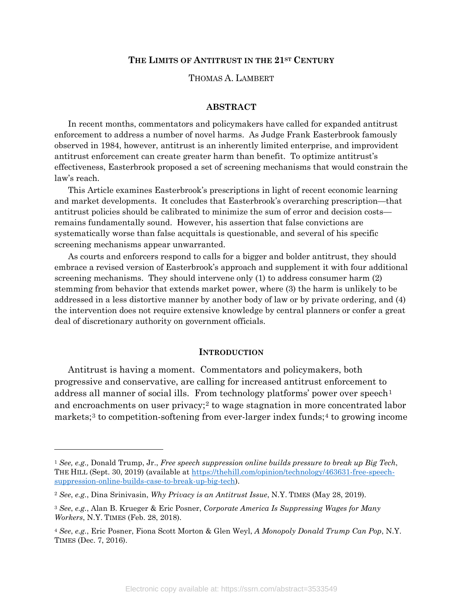#### **THE LIMITS OF ANTITRUST IN THE 21ST CENTURY**

#### THOMAS A. LAMBERT

#### **ABSTRACT**

In recent months, commentators and policymakers have called for expanded antitrust enforcement to address a number of novel harms. As Judge Frank Easterbrook famously observed in 1984, however, antitrust is an inherently limited enterprise, and improvident antitrust enforcement can create greater harm than benefit. To optimize antitrust's effectiveness, Easterbrook proposed a set of screening mechanisms that would constrain the law's reach.

This Article examines Easterbrook's prescriptions in light of recent economic learning and market developments. It concludes that Easterbrook's overarching prescription—that antitrust policies should be calibrated to minimize the sum of error and decision costs remains fundamentally sound. However, his assertion that false convictions are systematically worse than false acquittals is questionable, and several of his specific screening mechanisms appear unwarranted.

As courts and enforcers respond to calls for a bigger and bolder antitrust, they should embrace a revised version of Easterbrook's approach and supplement it with four additional screening mechanisms. They should intervene only (1) to address consumer harm (2) stemming from behavior that extends market power, where (3) the harm is unlikely to be addressed in a less distortive manner by another body of law or by private ordering, and (4) the intervention does not require extensive knowledge by central planners or confer a great deal of discretionary authority on government officials.

#### **INTRODUCTION**

Antitrust is having a moment. Commentators and policymakers, both progressive and conservative, are calling for increased antitrust enforcement to address all manner of social ills. From technology platforms' power over  $\epsilon$  speech<sup>[1](#page-1-0)</sup> and encroachments on user privacy;<sup>[2](#page-1-1)</sup> to wage stagnation in more concentrated labor markets;<sup>[3](#page-1-2)</sup> to competition-softening from ever-larger index funds;<sup>[4](#page-1-3)</sup> to growing income

l

<span id="page-1-0"></span><sup>1</sup> *See, e.g.,* Donald Trump, Jr., *Free speech suppression online builds pressure to break up Big Tech*, THE HILL (Sept. 30, 2019) (available at [https://thehill.com/opinion/technology/463631-free-speech](https://thehill.com/opinion/technology/463631-free-speech-suppression-online-builds-case-to-break-up-big-tech)[suppression-online-builds-case-to-break-up-big-tech\)](https://thehill.com/opinion/technology/463631-free-speech-suppression-online-builds-case-to-break-up-big-tech).

<span id="page-1-1"></span><sup>2</sup> *See*, *e.g.*, Dina Srinivasin, *Why Privacy is an Antitrust Issue*, N.Y. TIMES (May 28, 2019).

<span id="page-1-2"></span><sup>3</sup> *See*, *e.g.*, Alan B. Krueger & Eric Posner, *Corporate America Is Suppressing Wages for Many Workers*, N.Y. TIMES (Feb. 28, 2018).

<span id="page-1-3"></span><sup>4</sup> *See*, *e.g.*, Eric Posner, Fiona Scott Morton & Glen Weyl, *A Monopoly Donald Trump Can Pop*, N.Y. TIMES (Dec. 7, 2016).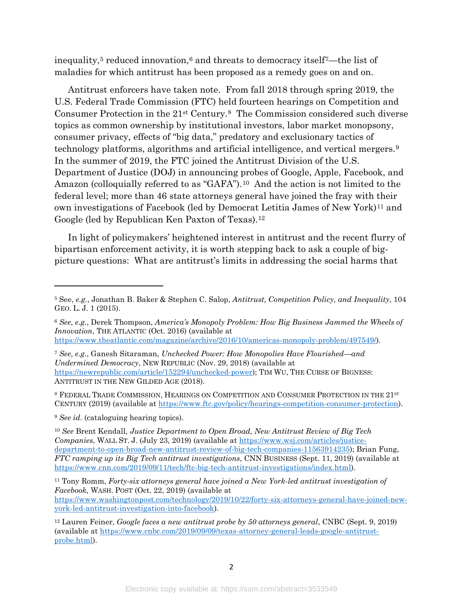<span id="page-2-8"></span>inequality,<sup>[5](#page-2-0)</sup> reduced innovation,<sup>[6](#page-2-1)</sup> and threats to democracy itself<sup>7</sup>—the list of maladies for which antitrust has been proposed as a remedy goes on and on.

Antitrust enforcers have taken note. From fall 2018 through spring 2019, the U.S. Federal Trade Commission (FTC) held fourteen hearings on Competition and Consumer Protection in the 21st Century[.8](#page-2-3) The Commission considered such diverse topics as common ownership by institutional investors, labor market monopsony, consumer privacy, effects of "big data," predatory and exclusionary tactics of technology platforms, algorithms and artificial intelligence, and vertical mergers.[9](#page-2-4)  In the summer of 2019, the FTC joined the Antitrust Division of the U.S. Department of Justice (DOJ) in announcing probes of Google, Apple, Facebook, and Amazon (colloquially referred to as "GAFA").<sup>10</sup> And the action is not limited to the federal level; more than 46 state attorneys general have joined the fray with their own investigations of Facebook (led by Democrat Letitia James of New York)<sup>[11](#page-2-6)</sup> and Google (led by Republican Ken Paxton of Texas).[12](#page-2-7)

In light of policymakers' heightened interest in antitrust and the recent flurry of bipartisan enforcement activity, it is worth stepping back to ask a couple of bigpicture questions: What are antitrust's limits in addressing the social harms that

<span id="page-2-3"></span>8 FEDERAL TRADE COMMISSION, HEARINGS ON COMPETITION AND CONSUMER PROTECTION IN THE 21st CENTURY (2019) (available at [https://www.ftc.gov/policy/hearings-competition-consumer-protection\)](https://www.ftc.gov/policy/hearings-competition-consumer-protection).

<span id="page-2-4"></span><sup>9</sup> *See id*. (cataloguing hearing topics).

l

<span id="page-2-5"></span><sup>10</sup> *See* Brent Kendall, *Justice Department to Open Broad, New Antitrust Review of Big Tech Companies*, WALL ST. J. (July 23, 2019) (available at [https://www.wsj.com/articles/justice](https://www.wsj.com/articles/justice-department-to-open-broad-new-antitrust-review-of-big-tech-companies-11563914235)[department-to-open-broad-new-antitrust-review-of-big-tech-companies-11563914235\)](https://www.wsj.com/articles/justice-department-to-open-broad-new-antitrust-review-of-big-tech-companies-11563914235); Brian Fung, *FTC ramping up its Big Tech antitrust investigations*, CNN BUSINESS (Sept. 11, 2019) (available at [https://www.cnn.com/2019/09/11/tech/ftc-big-tech-antitrust-investigations/index.html\)](https://www.cnn.com/2019/09/11/tech/ftc-big-tech-antitrust-investigations/index.html).

<span id="page-2-6"></span><sup>11</sup> Tony Romm, *Forty-six attorneys general have joined a New York-led antitrust investigation of Facebook*, WASH. POST (Oct. 22, 2019) (available at

[https://www.washingtonpost.com/technology/2019/10/22/forty-six-attorneys-general-have-joined-new](https://www.washingtonpost.com/technology/2019/10/22/forty-six-attorneys-general-have-joined-new-york-led-antitrust-investigation-into-facebook)[york-led-antitrust-investigation-into-facebook\)](https://www.washingtonpost.com/technology/2019/10/22/forty-six-attorneys-general-have-joined-new-york-led-antitrust-investigation-into-facebook).

<span id="page-2-0"></span><sup>5</sup> See, *e.g.*, Jonathan B. Baker & Stephen C. Salop, *Antitrust, Competition Policy, and Inequality*, 104 GEO. L. J. 1 (2015).

<span id="page-2-1"></span><sup>6</sup> *See*, *e.g.*, Derek Thompson, *America's Monopoly Problem: How Big Business Jammed the Wheels of Innovation*, THE ATLANTIC (Oct. 2016) (available at [https://www.theatlantic.com/magazine/archive/2016/10/americas-monopoly-problem/497549/\)](https://www.theatlantic.com/magazine/archive/2016/10/americas-monopoly-problem/497549/).

<span id="page-2-2"></span><sup>7</sup> *See*, *e.g.*, Ganesh Sitaraman, *Unchecked Power: How Monopolies Have Flourished—and Undermined Democracy*, NEW REPUBLIC (Nov. 29, 2018) (available at [https://newrepublic.com/article/152294/unchecked-power\)](https://newrepublic.com/article/152294/unchecked-power); TIM WU, THE CURSE OF BIGNESS: ANTITRUST IN THE NEW GILDED AGE (2018).

<span id="page-2-7"></span><sup>12</sup> Lauren Feiner, *Google faces a new antitrust probe by 50 attorneys general*, CNBC (Sept. 9, 2019) (available at [https://www.cnbc.com/2019/09/09/texas-attorney-general-leads-google-antitrust](https://www.cnbc.com/2019/09/09/texas-attorney-general-leads-google-antitrust-probe.html)[probe.html\)](https://www.cnbc.com/2019/09/09/texas-attorney-general-leads-google-antitrust-probe.html).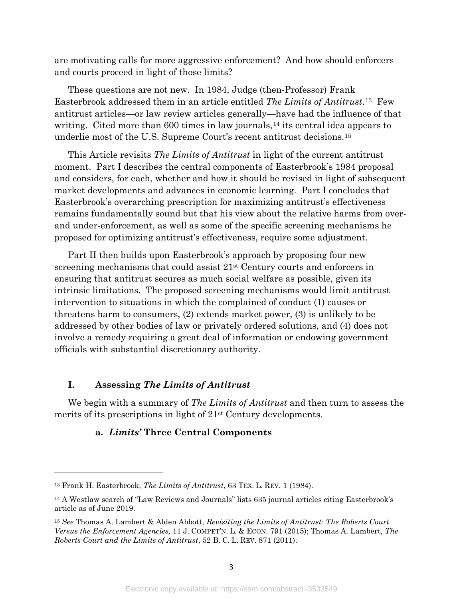are motivating calls for more aggressive enforcement? And how should enforcers and courts proceed in light of those limits?

<span id="page-3-3"></span>These questions are not new. In 1984, Judge (then-Professor) Frank Easterbrook addressed them in an article entitled *The Limits of Antitrust*.[13](#page-3-0) Few antitrust articles—or law review articles generally—have had the influence of that writing. Cited more than 600 times in law journals,<sup>[14](#page-3-1)</sup> its central idea appears to underlie most of the U.S. Supreme Court's recent antitrust decisions.[15](#page-3-2)

This Article revisits *The Limits of Antitrust* in light of the current antitrust moment. Part I describes the central components of Easterbrook's 1984 proposal and considers, for each, whether and how it should be revised in light of subsequent market developments and advances in economic learning. Part I concludes that Easterbrook's overarching prescription for maximizing antitrust's effectiveness remains fundamentally sound but that his view about the relative harms from overand under-enforcement, as well as some of the specific screening mechanisms he proposed for optimizing antitrust's effectiveness, require some adjustment.

Part II then builds upon Easterbrook's approach by proposing four new screening mechanisms that could assist  $21<sup>st</sup>$  Century courts and enforcers in ensuring that antitrust secures as much social welfare as possible, given its intrinsic limitations. The proposed screening mechanisms would limit antitrust intervention to situations in which the complained of conduct (1) causes or threatens harm to consumers, (2) extends market power, (3) is unlikely to be addressed by other bodies of law or privately ordered solutions, and (4) does not involve a remedy requiring a great deal of information or endowing government officials with substantial discretionary authority.

#### **I. Assessing** *The Limits of Antitrust*

 $\overline{\phantom{a}}$ 

We begin with a summary of *The Limits of Antitrust* and then turn to assess the merits of its prescriptions in light of 21st Century developments.

#### **a.** *Limits'* **Three Central Components**

<span id="page-3-0"></span><sup>13</sup> Frank H. Easterbrook, *The Limits of Antitrust*, 63 TEX. L. REV. 1 (1984).

<span id="page-3-1"></span><sup>14</sup> A Westlaw search of "Law Reviews and Journals" lists 635 journal articles citing Easterbrook's article as of June 2019.

<span id="page-3-2"></span><sup>15</sup> *See* Thomas A. Lambert & Alden Abbott, *Revisiting the Limits of Antitrust: The Roberts Court Versus the Enforcement Agencies,* 11 J. COMPET'N. L. & ECON. 791 (2015); Thomas A. Lambert, *The Roberts Court and the Limits of Antitrust*, 52 B. C. L. REV. 871 (2011).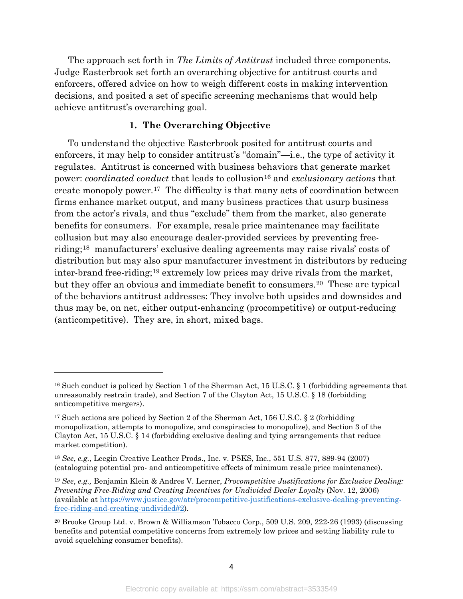The approach set forth in *The Limits of Antitrust* included three components. Judge Easterbrook set forth an overarching objective for antitrust courts and enforcers, offered advice on how to weigh different costs in making intervention decisions, and posited a set of specific screening mechanisms that would help achieve antitrust's overarching goal.

#### **1. The Overarching Objective**

To understand the objective Easterbrook posited for antitrust courts and enforcers, it may help to consider antitrust's "domain"—i.e., the type of activity it regulates. Antitrust is concerned with business behaviors that generate market power: *coordinated conduct* that leads to collusion<sup>[16](#page-4-0)</sup> and *exclusionary actions* that create monopoly power.[17](#page-4-1) The difficulty is that many acts of coordination between firms enhance market output, and many business practices that usurp business from the actor's rivals, and thus "exclude" them from the market, also generate benefits for consumers. For example, resale price maintenance may facilitate collusion but may also encourage dealer-provided services by preventing freeriding;[18](#page-4-2) manufacturers' exclusive dealing agreements may raise rivals' costs of distribution but may also spur manufacturer investment in distributors by reducing inter-brand free-riding;[19](#page-4-3) extremely low prices may drive rivals from the market, but they offer an obvious and immediate benefit to consumers.[20](#page-4-4) These are typical of the behaviors antitrust addresses: They involve both upsides and downsides and thus may be, on net, either output-enhancing (procompetitive) or output-reducing (anticompetitive). They are, in short, mixed bags.

<span id="page-4-0"></span><sup>16</sup> Such conduct is policed by Section 1 of the Sherman Act, 15 U.S.C. § 1 (forbidding agreements that unreasonably restrain trade), and Section 7 of the Clayton Act, 15 U.S.C. § 18 (forbidding anticompetitive mergers).

<span id="page-4-1"></span><sup>&</sup>lt;sup>17</sup> Such actions are policed by Section 2 of the Sherman Act, 156 U.S.C.  $\S$  2 (forbidding monopolization, attempts to monopolize, and conspiracies to monopolize), and Section 3 of the Clayton Act, 15 U.S.C. § 14 (forbidding exclusive dealing and tying arrangements that reduce market competition).

<span id="page-4-2"></span><sup>18</sup> *See*, *e.g.*, Leegin Creative Leather Prods., Inc. v. PSKS, Inc., 551 U.S. 877, 889-94 (2007) (cataloguing potential pro- and anticompetitive effects of minimum resale price maintenance).

<span id="page-4-3"></span><sup>19</sup> *See*, *e.g.,* Benjamin Klein & Andres V. Lerner, *Procompetitive Justifications for Exclusive Dealing: Preventing Free-Riding and Creating Incentives for Undivided Dealer Loyalty* (Nov. 12, 2006) (available at [https://www.justice.gov/atr/procompetitive-justifications-exclusive-dealing-preventing](https://www.justice.gov/atr/procompetitive-justifications-exclusive-dealing-preventing-free-riding-and-creating-undivided#2)[free-riding-and-creating-undivided#2\)](https://www.justice.gov/atr/procompetitive-justifications-exclusive-dealing-preventing-free-riding-and-creating-undivided#2).

<span id="page-4-4"></span><sup>20</sup> Brooke Group Ltd. v. Brown & Williamson Tobacco Corp., 509 U.S. 209, 222-26 (1993) (discussing benefits and potential competitive concerns from extremely low prices and setting liability rule to avoid squelching consumer benefits).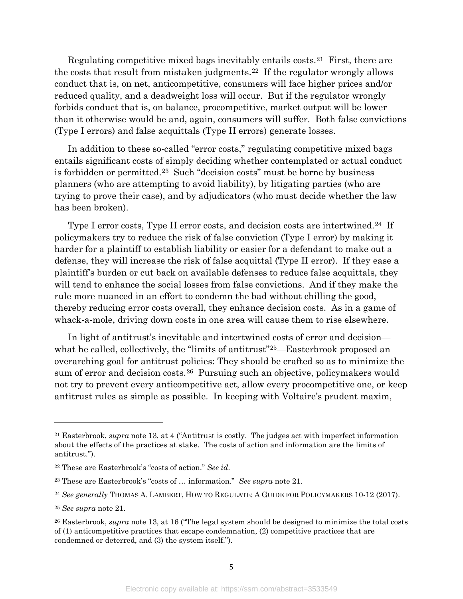<span id="page-5-0"></span>Regulating competitive mixed bags inevitably entails costs.[21](#page-5-1) First, there are the costs that result from mistaken judgments.[22](#page-5-2) If the regulator wrongly allows conduct that is, on net, anticompetitive, consumers will face higher prices and/or reduced quality, and a deadweight loss will occur. But if the regulator wrongly forbids conduct that is, on balance, procompetitive, market output will be lower than it otherwise would be and, again, consumers will suffer. Both false convictions (Type I errors) and false acquittals (Type II errors) generate losses.

In addition to these so-called "error costs," regulating competitive mixed bags entails significant costs of simply deciding whether contemplated or actual conduct is forbidden or permitted.[23](#page-5-3) Such "decision costs" must be borne by business planners (who are attempting to avoid liability), by litigating parties (who are trying to prove their case), and by adjudicators (who must decide whether the law has been broken).

Type I error costs, Type II error costs, and decision costs are intertwined.<sup>24</sup> If policymakers try to reduce the risk of false conviction (Type I error) by making it harder for a plaintiff to establish liability or easier for a defendant to make out a defense, they will increase the risk of false acquittal (Type II error). If they ease a plaintiff's burden or cut back on available defenses to reduce false acquittals, they will tend to enhance the social losses from false convictions. And if they make the rule more nuanced in an effort to condemn the bad without chilling the good, thereby reducing error costs overall, they enhance decision costs. As in a game of whack-a-mole, driving down costs in one area will cause them to rise elsewhere.

In light of antitrust's inevitable and intertwined costs of error and decision— what he called, collectively, the "limits of antitrust"<sup>[25](#page-5-5)</sup>—Easterbrook proposed an overarching goal for antitrust policies: They should be crafted so as to minimize the sum of error and decision costs.<sup>26</sup> Pursuing such an objective, policymakers would not try to prevent every anticompetitive act, allow every procompetitive one, or keep antitrust rules as simple as possible. In keeping with Voltaire's prudent maxim,

l

<span id="page-5-1"></span><sup>21</sup> Easterbrook, *supra* note [13,](#page-3-3) at 4 ("Antitrust is costly. The judges act with imperfect information about the effects of the practices at stake. The costs of action and information are the limits of antitrust.").

<span id="page-5-2"></span><sup>22</sup> These are Easterbrook's "costs of action." *See id*.

<span id="page-5-3"></span><sup>23</sup> These are Easterbrook's "costs of … information." *See supra* note [21.](#page-5-0)

<span id="page-5-4"></span><sup>24</sup> *See generally* THOMAS A. LAMBERT, HOW TO REGULATE: A GUIDE FOR POLICYMAKERS 10-12 (2017).

<span id="page-5-5"></span><sup>25</sup> *See supra* note [21.](#page-5-0)

<span id="page-5-6"></span><sup>26</sup> Easterbrook, *supra* note [13,](#page-3-3) at 16 ("The legal system should be designed to minimize the total costs of (1) anticompetitive practices that escape condemnation, (2) competitive practices that are condemned or deterred, and (3) the system itself.").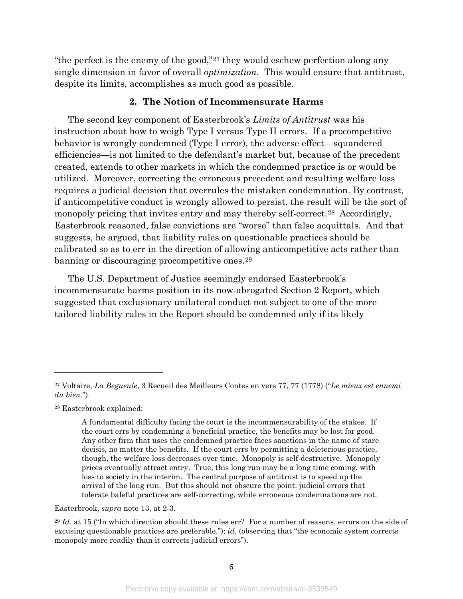"the perfect is the enemy of the good,"[27](#page-6-0) they would eschew perfection along any single dimension in favor of overall *optimization*. This would ensure that antitrust, despite its limits, accomplishes as much good as possible.

#### **2. The Notion of Incommensurate Harms**

The second key component of Easterbrook's *Limits of Antitrust* was his instruction about how to weigh Type I versus Type II errors. If a procompetitive behavior is wrongly condemned (Type I error), the adverse effect—squandered efficiencies—is not limited to the defendant's market but, because of the precedent created, extends to other markets in which the condemned practice is or would be utilized. Moreover, correcting the erroneous precedent and resulting welfare loss requires a judicial decision that overrules the mistaken condemnation. By contrast, if anticompetitive conduct is wrongly allowed to persist, the result will be the sort of monopoly pricing that invites entry and may thereby self-correct.<sup>28</sup> Accordingly, Easterbrook reasoned, false convictions are "worse" than false acquittals. And that suggests, he argued, that liability rules on questionable practices should be calibrated so as to err in the direction of allowing anticompetitive acts rather than banning or discouraging procompetitive ones.<sup>[29](#page-6-2)</sup>

The U.S. Department of Justice seemingly endorsed Easterbrook's incommensurate harms position in its now-abrogated Section 2 Report, which suggested that exclusionary unilateral conduct not subject to one of the more tailored liability rules in the Report should be condemned only if its likely

<span id="page-6-1"></span><sup>28</sup> Easterbrook explained:

 $\overline{a}$ 

Easterbrook, *supra* note [13,](#page-3-3) at 2-3.

<span id="page-6-2"></span><sup>29</sup> *Id.* at 15 ("In which direction should these rules err? For a number of reasons, errors on the side of excusing questionable practices are preferable."); *id*. (observing that "the economic system corrects monopoly more readily than it corrects judicial errors").

<span id="page-6-0"></span><sup>27</sup> Voltaire, *La Begueule*, 3 Recueil des Meilleurs Contes en vers 77, 77 (1778) ("*Le mieux est ennemi du bien.*").

A fundamental difficulty facing the court is the incommensurability of the stakes. If the court errs by condemning a beneficial practice, the benefits may be lost for good. Any other firm that uses the condemned practice faces sanctions in the name of stare decisis, no matter the benefits. If the court errs by permitting a deleterious practice, though, the welfare loss decreases over time. Monopoly is self-destructive. Monopoly prices eventually attract entry. True, this long run may be a long time coming, with loss to society in the interim. The central purpose of antitrust is to speed up the arrival of the long run. But this should not obscure the point: judicial errors that tolerate baleful practices are self-correcting, while erroneous condemnations are not.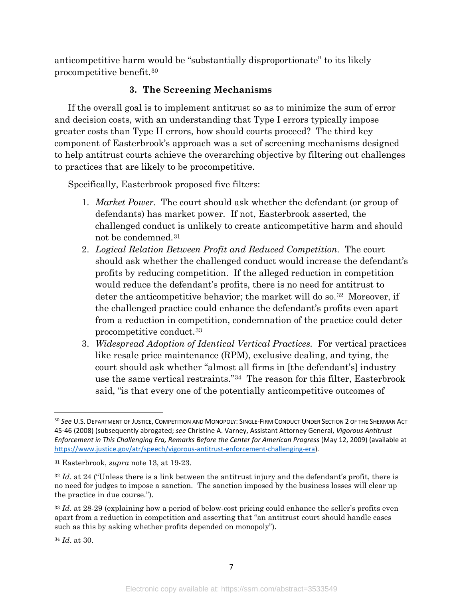anticompetitive harm would be "substantially disproportionate" to its likely procompetitive benefit.[30](#page-7-0) 

#### **3. The Screening Mechanisms**

If the overall goal is to implement antitrust so as to minimize the sum of error and decision costs, with an understanding that Type I errors typically impose greater costs than Type II errors, how should courts proceed? The third key component of Easterbrook's approach was a set of screening mechanisms designed to help antitrust courts achieve the overarching objective by filtering out challenges to practices that are likely to be procompetitive.

Specifically, Easterbrook proposed five filters:

- 1. *Market Power.* The court should ask whether the defendant (or group of defendants) has market power. If not, Easterbrook asserted, the challenged conduct is unlikely to create anticompetitive harm and should not be condemned.[31](#page-7-1)
- 2. *Logical Relation Between Profit and Reduced Competition.* The court should ask whether the challenged conduct would increase the defendant's profits by reducing competition. If the alleged reduction in competition would reduce the defendant's profits, there is no need for antitrust to deter the anticompetitive behavior; the market will do so.<sup>[32](#page-7-2)</sup> Moreover, if the challenged practice could enhance the defendant's profits even apart from a reduction in competition, condemnation of the practice could deter procompetitive conduct.[33](#page-7-3)
- 3. *Widespread Adoption of Identical Vertical Practices.* For vertical practices like resale price maintenance (RPM), exclusive dealing, and tying, the court should ask whether "almost all firms in [the defendant's] industry use the same vertical restraints."[34](#page-7-4) The reason for this filter, Easterbrook said, "is that every one of the potentially anticompetitive outcomes of

<span id="page-7-4"></span><sup>34</sup> *Id*. at 30.

<span id="page-7-0"></span> <sup>30</sup> *See* U.S. DEPARTMENT OF JUSTICE, COMPETITION AND MONOPOLY: SINGLE-FIRM CONDUCT UNDER SECTION 2 OF THE SHERMAN ACT 45-46 (2008) (subsequently abrogated; *see* Christine A. Varney, Assistant Attorney General, *Vigorous Antitrust Enforcement in This Challenging Era, Remarks Before the Center for American Progress* (May 12, 2009) (available at [https://www.justice.gov/atr/speech/vigorous-antitrust-enforcement-challenging-era\)](https://www.justice.gov/atr/speech/vigorous-antitrust-enforcement-challenging-era).

<span id="page-7-1"></span><sup>31</sup> Easterbrook, *supra* note [13,](#page-3-3) at 19-23.

<span id="page-7-2"></span><sup>&</sup>lt;sup>32</sup> *Id.* at 24 ("Unless there is a link between the antitrust injury and the defendant's profit, there is no need for judges to impose a sanction. The sanction imposed by the business losses will clear up the practice in due course.").

<span id="page-7-3"></span><sup>33</sup> *Id*. at 28-29 (explaining how a period of below-cost pricing could enhance the seller's profits even apart from a reduction in competition and asserting that "an antitrust court should handle cases such as this by asking whether profits depended on monopoly").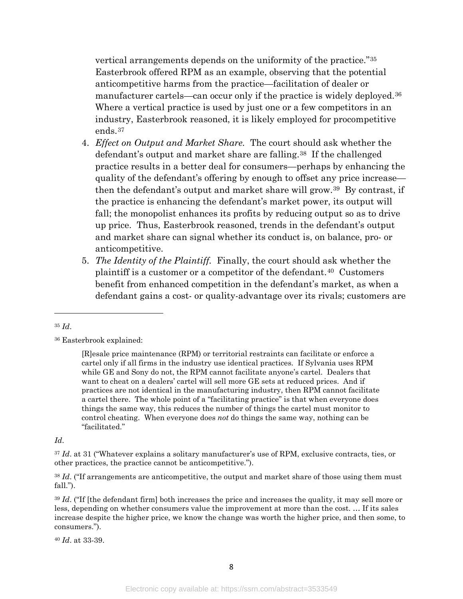vertical arrangements depends on the uniformity of the practice."[35](#page-8-0) Easterbrook offered RPM as an example, observing that the potential anticompetitive harms from the practice—facilitation of dealer or manufacturer cartels—can occur only if the practice is widely deployed.<sup>[36](#page-8-1)</sup> Where a vertical practice is used by just one or a few competitors in an industry, Easterbrook reasoned, it is likely employed for procompetitive ends.[37](#page-8-2)

- 4. *Effect on Output and Market Share.* The court should ask whether the defendant's output and market share are falling[.38](#page-8-3) If the challenged practice results in a better deal for consumers—perhaps by enhancing the quality of the defendant's offering by enough to offset any price increase then the defendant's output and market share will grow.[39](#page-8-4) By contrast, if the practice is enhancing the defendant's market power, its output will fall; the monopolist enhances its profits by reducing output so as to drive up price. Thus, Easterbrook reasoned, trends in the defendant's output and market share can signal whether its conduct is, on balance, pro- or anticompetitive.
- 5. *The Identity of the Plaintiff.* Finally, the court should ask whether the plaintiff is a customer or a competitor of the defendant.<sup>40</sup> Customers benefit from enhanced competition in the defendant's market, as when a defendant gains a cost- or quality-advantage over its rivals; customers are

 $\overline{\phantom{a}}$ 

#### *Id*.

<span id="page-8-5"></span><sup>40</sup> *Id*. at 33-39.

<span id="page-8-0"></span><sup>35</sup> *Id*.

<span id="page-8-1"></span><sup>36</sup> Easterbrook explained:

<sup>[</sup>R]esale price maintenance (RPM) or territorial restraints can facilitate or enforce a cartel only if all firms in the industry use identical practices. If Sylvania uses RPM while GE and Sony do not, the RPM cannot facilitate anyone's cartel. Dealers that want to cheat on a dealers' cartel will sell more GE sets at reduced prices. And if practices are not identical in the manufacturing industry, then RPM cannot facilitate a cartel there. The whole point of a "facilitating practice" is that when everyone does things the same way, this reduces the number of things the cartel must monitor to control cheating. When everyone does *not* do things the same way, nothing can be "facilitated."

<span id="page-8-2"></span><sup>&</sup>lt;sup>37</sup> *Id.* at 31 ("Whatever explains a solitary manufacturer's use of RPM, exclusive contracts, ties, or other practices, the practice cannot be anticompetitive.").

<span id="page-8-3"></span><sup>38</sup> *Id*. ("If arrangements are anticompetitive, the output and market share of those using them must fall.").

<span id="page-8-4"></span><sup>&</sup>lt;sup>39</sup> *Id.* ("If [the defendant firm] both increases the price and increases the quality, it may sell more or less, depending on whether consumers value the improvement at more than the cost. … If its sales increase despite the higher price, we know the change was worth the higher price, and then some, to consumers.").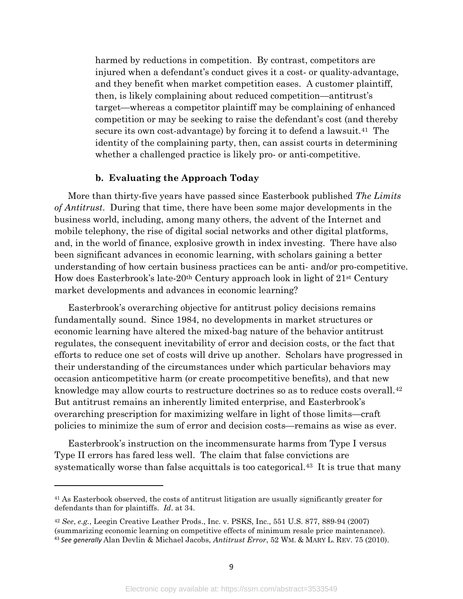harmed by reductions in competition. By contrast, competitors are injured when a defendant's conduct gives it a cost- or quality-advantage, and they benefit when market competition eases. A customer plaintiff, then, is likely complaining about reduced competition—antitrust's target—whereas a competitor plaintiff may be complaining of enhanced competition or may be seeking to raise the defendant's cost (and thereby secure its own cost-advantage) by forcing it to defend a lawsuit.<sup>41</sup> The identity of the complaining party, then, can assist courts in determining whether a challenged practice is likely pro- or anti-competitive.

#### **b. Evaluating the Approach Today**

More than thirty-five years have passed since Easterbook published *The Limits of Antitrust*. During that time, there have been some major developments in the business world, including, among many others, the advent of the Internet and mobile telephony, the rise of digital social networks and other digital platforms, and, in the world of finance, explosive growth in index investing. There have also been significant advances in economic learning, with scholars gaining a better understanding of how certain business practices can be anti- and/or pro-competitive. How does Easterbrook's late-20th Century approach look in light of 21st Century market developments and advances in economic learning?

Easterbrook's overarching objective for antitrust policy decisions remains fundamentally sound. Since 1984, no developments in market structures or economic learning have altered the mixed-bag nature of the behavior antitrust regulates, the consequent inevitability of error and decision costs, or the fact that efforts to reduce one set of costs will drive up another. Scholars have progressed in their understanding of the circumstances under which particular behaviors may occasion anticompetitive harm (or create procompetitive benefits), and that new knowledge may allow courts to restructure doctrines so as to reduce costs overall.[42](#page-9-1) But antitrust remains an inherently limited enterprise, and Easterbrook's overarching prescription for maximizing welfare in light of those limits—craft policies to minimize the sum of error and decision costs—remains as wise as ever.

Easterbrook's instruction on the incommensurate harms from Type I versus Type II errors has fared less well. The claim that false convictions are systematically worse than false acquittals is too categorical.[43](#page-9-2) It is true that many

<span id="page-9-3"></span>l

<span id="page-9-0"></span><sup>&</sup>lt;sup>41</sup> As Easterbook observed, the costs of antitrust litigation are usually significantly greater for defendants than for plaintiffs. *Id*. at 34.

<span id="page-9-2"></span><span id="page-9-1"></span><sup>42</sup> *See*, *e.g.*, Leegin Creative Leather Prods., Inc. v. PSKS, Inc., 551 U.S. 877, 889-94 (2007) (summarizing economic learning on competitive effects of minimum resale price maintenance). <sup>43</sup> *See generally* Alan Devlin & Michael Jacobs, *Antitrust Error*, 52 WM. & MARY L. REV. 75 (2010).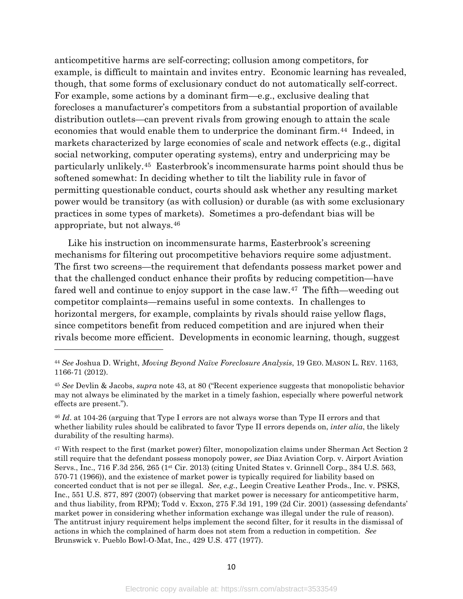<span id="page-10-4"></span>anticompetitive harms are self-correcting; collusion among competitors, for example, is difficult to maintain and invites entry. Economic learning has revealed, though, that some forms of exclusionary conduct do not automatically self-correct. For example, some actions by a dominant firm—e.g., exclusive dealing that forecloses a manufacturer's competitors from a substantial proportion of available distribution outlets—can prevent rivals from growing enough to attain the scale economies that would enable them to underprice the dominant firm.[44](#page-10-0) Indeed, in markets characterized by large economies of scale and network effects (e.g., digital social networking, computer operating systems), entry and underpricing may be particularly unlikely.[45](#page-10-1) Easterbrook's incommensurate harms point should thus be softened somewhat: In deciding whether to tilt the liability rule in favor of permitting questionable conduct, courts should ask whether any resulting market power would be transitory (as with collusion) or durable (as with some exclusionary practices in some types of markets). Sometimes a pro-defendant bias will be appropriate, but not always[.46](#page-10-2)

Like his instruction on incommensurate harms, Easterbrook's screening mechanisms for filtering out procompetitive behaviors require some adjustment. The first two screens—the requirement that defendants possess market power and that the challenged conduct enhance their profits by reducing competition—have fared well and continue to enjoy support in the case law.<sup>47</sup> The fifth—weeding out competitor complaints—remains useful in some contexts. In challenges to horizontal mergers, for example, complaints by rivals should raise yellow flags, since competitors benefit from reduced competition and are injured when their rivals become more efficient. Developments in economic learning, though, suggest

 $\overline{\phantom{a}}$ 

<span id="page-10-0"></span><sup>44</sup> *See* Joshua D. Wright, *Moving Beyond Naïve Foreclosure Analysis*, 19 GEO. MASON L. REV. 1163, 1166-71 (2012).

<span id="page-10-1"></span><sup>45</sup> *See* Devlin & Jacobs, *supra* note [43,](#page-9-3) at 80 ("Recent experience suggests that monopolistic behavior may not always be eliminated by the market in a timely fashion, especially where powerful network effects are present.").

<span id="page-10-2"></span><sup>46</sup> *Id*. at 104-26 (arguing that Type I errors are not always worse than Type II errors and that whether liability rules should be calibrated to favor Type II errors depends on, *inter alia*, the likely durability of the resulting harms).

<span id="page-10-3"></span><sup>47</sup> With respect to the first (market power) filter, monopolization claims under Sherman Act Section 2 still require that the defendant possess monopoly power, *see* Diaz Aviation Corp. v. Airport Aviation Servs., Inc., 716 F.3d 256, 265 (1st Cir. 2013) (citing United States v. Grinnell Corp., 384 U.S. 563, 570-71 (1966)), and the existence of market power is typically required for liability based on concerted conduct that is not per se illegal. *See*, *e.g.*, Leegin Creative Leather Prods., Inc. v. PSKS, Inc., 551 U.S. 877, 897 (2007) (observing that market power is necessary for anticompetitive harm, and thus liability, from RPM); Todd v. Exxon, 275 F.3d 191, 199 (2d Cir. 2001) (assessing defendants' market power in considering whether information exchange was illegal under the rule of reason). The antitrust injury requirement helps implement the second filter, for it results in the dismissal of actions in which the complained of harm does not stem from a reduction in competition. *See*  Brunswick v. Pueblo Bowl-O-Mat, Inc., 429 U.S. 477 (1977).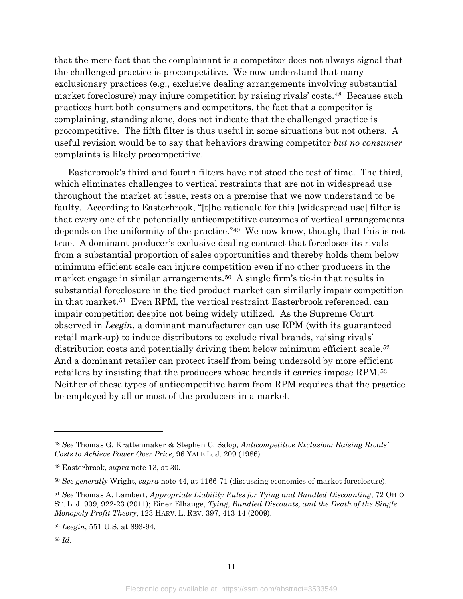that the mere fact that the complainant is a competitor does not always signal that the challenged practice is procompetitive. We now understand that many exclusionary practices (e.g., exclusive dealing arrangements involving substantial market foreclosure) may injure competition by raising rivals' costs.[48](#page-11-0) Because such practices hurt both consumers and competitors, the fact that a competitor is complaining, standing alone, does not indicate that the challenged practice is procompetitive. The fifth filter is thus useful in some situations but not others. A useful revision would be to say that behaviors drawing competitor *but no consumer* complaints is likely procompetitive.

Easterbrook's third and fourth filters have not stood the test of time. The third, which eliminates challenges to vertical restraints that are not in widespread use throughout the market at issue, rests on a premise that we now understand to be faulty. According to Easterbrook, "[t]he rationale for this [widespread use] filter is that every one of the potentially anticompetitive outcomes of vertical arrangements depends on the uniformity of the practice."[49](#page-11-1) We now know, though, that this is not true. A dominant producer's exclusive dealing contract that forecloses its rivals from a substantial proportion of sales opportunities and thereby holds them below minimum efficient scale can injure competition even if no other producers in the market engage in similar arrangements.<sup>[50](#page-11-2)</sup> A single firm's tie-in that results in substantial foreclosure in the tied product market can similarly impair competition in that market.[51](#page-11-3) Even RPM, the vertical restraint Easterbrook referenced, can impair competition despite not being widely utilized. As the Supreme Court observed in *Leegin*, a dominant manufacturer can use RPM (with its guaranteed retail mark-up) to induce distributors to exclude rival brands, raising rivals' distribution costs and potentially driving them below minimum efficient scale.<sup>[52](#page-11-4)</sup> And a dominant retailer can protect itself from being undersold by more efficient retailers by insisting that the producers whose brands it carries impose RPM.[53](#page-11-5)  Neither of these types of anticompetitive harm from RPM requires that the practice be employed by all or most of the producers in a market.

l

<span id="page-11-0"></span><sup>48</sup> *See* Thomas G. Krattenmaker & Stephen C. Salop, *Anticompetitive Exclusion: Raising Rivals' Costs to Achieve Power Over Price*, 96 YALE L. J. 209 (1986)

<span id="page-11-1"></span><sup>49</sup> Easterbrook, *supra* note [13,](#page-3-3) at 30.

<span id="page-11-2"></span><sup>50</sup> *See generally* Wright, *supra* note [44,](#page-10-4) at 1166-71 (discussing economics of market foreclosure).

<span id="page-11-3"></span><sup>51</sup> *See* Thomas A. Lambert, *Appropriate Liability Rules for Tying and Bundled Discounting*, 72 OHIO ST. L. J. 909, 922-23 (2011); Einer Elhauge, *Tying, Bundled Discounts, and the Death of the Single Monopoly Profit Theory*, 123 HARV. L. REV. 397, 413-14 (2009).

<span id="page-11-4"></span><sup>52</sup> *Leegin*, 551 U.S. at 893-94.

<span id="page-11-5"></span><sup>53</sup> *Id*.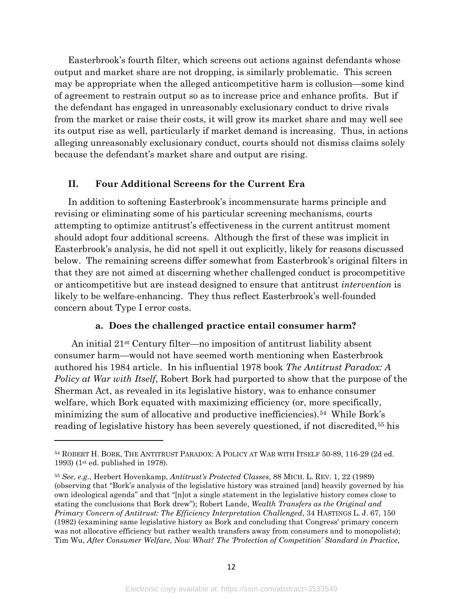Easterbrook's fourth filter, which screens out actions against defendants whose output and market share are not dropping, is similarly problematic. This screen may be appropriate when the alleged anticompetitive harm is collusion—some kind of agreement to restrain output so as to increase price and enhance profits. But if the defendant has engaged in unreasonably exclusionary conduct to drive rivals from the market or raise their costs, it will grow its market share and may well see its output rise as well, particularly if market demand is increasing. Thus, in actions alleging unreasonably exclusionary conduct, courts should not dismiss claims solely because the defendant's market share and output are rising.

#### **II. Four Additional Screens for the Current Era**

In addition to softening Easterbrook's incommensurate harms principle and revising or eliminating some of his particular screening mechanisms, courts attempting to optimize antitrust's effectiveness in the current antitrust moment should adopt four additional screens. Although the first of these was implicit in Easterbrook's analysis, he did not spell it out explicitly, likely for reasons discussed below. The remaining screens differ somewhat from Easterbrook's original filters in that they are not aimed at discerning whether challenged conduct is procompetitive or anticompetitive but are instead designed to ensure that antitrust *intervention* is likely to be welfare-enhancing. They thus reflect Easterbrook's well-founded concern about Type I error costs.

#### <span id="page-12-3"></span><span id="page-12-2"></span>**a. Does the challenged practice entail consumer harm?**

An initial 21st Century filter—no imposition of antitrust liability absent consumer harm—would not have seemed worth mentioning when Easterbrook authored his 1984 article.In his influential 1978 book *The Antitrust Paradox: A Policy at War with Itself*, Robert Bork had purported to show that the purpose of the Sherman Act, as revealed in its legislative history, was to enhance consumer welfare, which Bork equated with maximizing efficiency (or, more specifically, minimizing the sum of allocative and productive inefficiencies).[54](#page-12-0) While Bork's reading of legislative history has been severely questioned, if not discredited,<sup>[55](#page-12-1)</sup> his

l

<span id="page-12-0"></span><sup>54</sup> ROBERT H. BORK, THE ANTITRUST PARADOX: A POLICY AT WAR WITH ITSELF 50-89, 116-29 (2d ed. 1993) (1st ed. published in 1978).

<span id="page-12-1"></span><sup>55</sup> *See*, *e.g.*, Herbert Hovenkamp, *Antitrust's Protected Classes*, 88 MICH. L. REV. 1, 22 (1989) (observing that "Bork's analysis of the legislative history was strained [and] heavily governed by his own ideological agenda" and that "[n]ot a single statement in the legislative history comes close to stating the conclusions that Bork drew"); Robert Lande, *Wealth Transfers as the Original and Primary Concern of Antitrust: The Efficiency Interpretation Challenged*, 34 HASTINGS L. J. 67, 150 (1982) (examining same legislative history as Bork and concluding that Congress' primary concern was not allocative efficiency but rather wealth transfers away from consumers and to monopolists); Tim Wu, *After Consumer Welfare, Now What? The 'Protection of Competition' Standard in Practice*,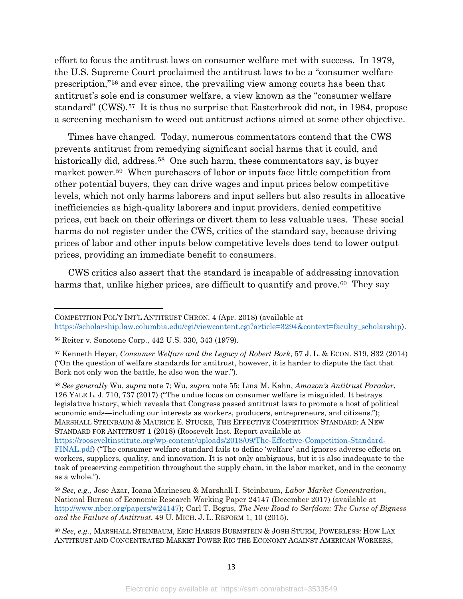effort to focus the antitrust laws on consumer welfare met with success. In 1979, the U.S. Supreme Court proclaimed the antitrust laws to be a "consumer welfare prescription,"[56](#page-13-0) and ever since, the prevailing view among courts has been that antitrust's sole end is consumer welfare, a view known as the "consumer welfare standard" (CWS).[57](#page-13-1) It is thus no surprise that Easterbrook did not, in 1984, propose a screening mechanism to weed out antitrust actions aimed at some other objective.

<span id="page-13-6"></span>Times have changed. Today, numerous commentators contend that the CWS prevents antitrust from remedying significant social harms that it could, and historically did, address.<sup>58</sup> One such harm, these commentators say, is buyer market power.[59](#page-13-3) When purchasers of labor or inputs face little competition from other potential buyers, they can drive wages and input prices below competitive levels, which not only harms laborers and input sellers but also results in allocative inefficiencies as high-quality laborers and input providers, denied competitive prices, cut back on their offerings or divert them to less valuable uses. These social harms do not register under the CWS, critics of the standard say, because driving prices of labor and other inputs below competitive levels does tend to lower output prices, providing an immediate benefit to consumers.

CWS critics also assert that the standard is incapable of addressing innovation harms that, unlike higher prices, are difficult to quantify and prove.<sup>60</sup> They say

<span id="page-13-5"></span> $\overline{\phantom{a}}$ 

<span id="page-13-2"></span><sup>58</sup> *See generally* Wu, *supra* note [7;](#page-2-8) Wu, *supra* note [55;](#page-12-2) Lina M. Kahn, *Amazon's Antitrust Paradox*, 126 YALE L. J. 710, 737 (2017) ("The undue focus on consumer welfare is misguided. It betrays legislative history, which reveals that Congress passed antitrust laws to promote a host of political economic ends—including our interests as workers, producers, entrepreneurs, and citizens."); MARSHALL STEINBAUM & MAURICE E. STUCKE, THE EFFECTIVE COMPETITION STANDARD: A NEW STANDARD FOR ANTITRUST 1 (2018) (Roosevelt Inst. Report available at [https://rooseveltinstitute.org/wp-content/uploads/2018/09/The-Effective-Competition-Standard-](https://rooseveltinstitute.org/wp-content/uploads/2018/09/The-Effective-Competition-Standard-FINAL.pdf)[FINAL.pdf\)](https://rooseveltinstitute.org/wp-content/uploads/2018/09/The-Effective-Competition-Standard-FINAL.pdf) ("The consumer welfare standard fails to define 'welfare' and ignores adverse effects on workers, suppliers, quality, and innovation. It is not only ambiguous, but it is also inadequate to the

COMPETITION POL'Y INT'L ANTITRUST CHRON. 4 (Apr. 2018) (available at [https://scholarship.law.columbia.edu/cgi/viewcontent.cgi?article=3294&context=faculty\\_scholarship\)](https://scholarship.law.columbia.edu/cgi/viewcontent.cgi?article=3294&context=faculty_scholarship).

<span id="page-13-0"></span><sup>56</sup> Reiter v. Sonotone Corp., 442 U.S. 330, 343 (1979).

<span id="page-13-1"></span><sup>57</sup> Kenneth Heyer, *Consumer Welfare and the Legacy of Robert Bork*, 57 J. L. & ECON. S19, S32 (2014) ("On the question of welfare standards for antitrust, however, it is harder to dispute the fact that Bork not only won the battle, he also won the war.").

task of preserving competition throughout the supply chain, in the labor market, and in the economy as a whole."). <sup>59</sup> *See, e.g.,* Jose Azar, Ioana Marinescu & Marshall I. Steinbaum, *Labor Market Concentration*, National Bureau of Economic Research Working Paper 24147 (December 2017) (available at

<span id="page-13-3"></span>[http://www.nber.org/papers/w24147\)](http://www.nber.org/papers/w24147); Carl T. Bogus, *The New Road to Serfdom: The Curse of Bigness and the Failure of Antitrust*, 49 U. MICH. J. L. REFORM 1, 10 (2015).

<span id="page-13-4"></span><sup>60</sup> *See*, *e.g.*, MARSHALL STEINBAUM, ERIC HARRIS BURMSTEIN & JOSH STURM, POWERLESS: HOW LAX ANTITRUST AND CONCENTRATED MARKET POWER RIG THE ECONOMY AGAINST AMERICAN WORKERS,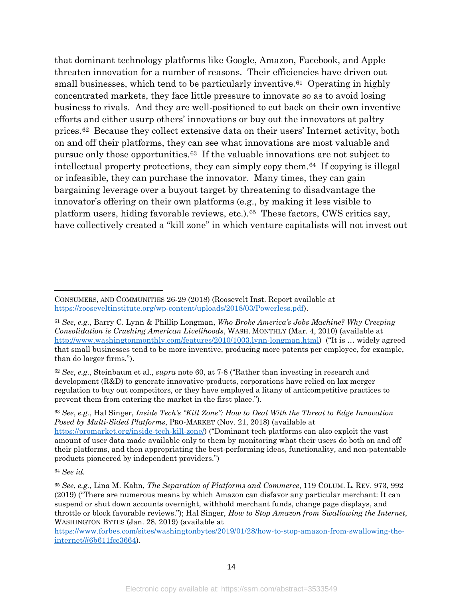<span id="page-14-6"></span><span id="page-14-5"></span>that dominant technology platforms like Google, Amazon, Facebook, and Apple threaten innovation for a number of reasons. Their efficiencies have driven out small businesses, which tend to be particularly inventive.<sup>[61](#page-14-0)</sup> Operating in highly concentrated markets, they face little pressure to innovate so as to avoid losing business to rivals. And they are well-positioned to cut back on their own inventive efforts and either usurp others' innovations or buy out the innovators at paltry prices.[62](#page-14-1) Because they collect extensive data on their users' Internet activity, both on and off their platforms, they can see what innovations are most valuable and pursue only those opportunities.[63](#page-14-2) If the valuable innovations are not subject to intellectual property protections, they can simply copy them.[64](#page-14-3) If copying is illegal or infeasible, they can purchase the innovator. Many times, they can gain bargaining leverage over a buyout target by threatening to disadvantage the innovator's offering on their own platforms (e.g., by making it less visible to platform users, hiding favorable reviews, etc.).[65](#page-14-4) These factors, CWS critics say, have collectively created a "kill zone" in which venture capitalists will not invest out

<span id="page-14-1"></span><sup>62</sup> *See*, *e.g.*, Steinbaum et al., *supra* note [60,](#page-13-5) at 7-8 ("Rather than investing in research and development (R&D) to generate innovative products, corporations have relied on lax merger regulation to buy out competitors, or they have employed a litany of anticompetitive practices to prevent them from entering the market in the first place.").

<span id="page-14-2"></span><sup>63</sup> *See*, *e.g.*, Hal Singer, *Inside Tech's "Kill Zone": How to Deal With the Threat to Edge Innovation Posed by Multi-Sided Platforms*, PRO-MARKET (Nov. 21, 2018) (available at [https://promarket.org/inside-tech-kill-zone/\)](https://promarket.org/inside-tech-kill-zone/) ("Dominant tech platforms can also exploit the vast amount of user data made available only to them by monitoring what their users do both on and off their platforms, and then appropriating the best-performing ideas, functionality, and non-patentable products pioneered by independent providers.")

l

[https://www.forbes.com/sites/washingtonbytes/2019/01/28/how-to-stop-amazon-from-swallowing-the](https://www.forbes.com/sites/washingtonbytes/2019/01/28/how-to-stop-amazon-from-swallowing-the-internet/#6b611fcc3664)[internet/#6b611fcc3664\)](https://www.forbes.com/sites/washingtonbytes/2019/01/28/how-to-stop-amazon-from-swallowing-the-internet/#6b611fcc3664).

CONSUMERS, AND COMMUNITIES 26-29 (2018) (Roosevelt Inst. Report available at [https://rooseveltinstitute.org/wp-content/uploads/2018/03/Powerless.pdf\)](https://rooseveltinstitute.org/wp-content/uploads/2018/03/Powerless.pdf).

<span id="page-14-0"></span><sup>61</sup> *See*, *e.g.*, Barry C. Lynn & Phillip Longman, *Who Broke America's Jobs Machine? Why Creeping Consolidation is Crushing American Livelihoods*, WASH. MONTHLY (Mar. 4, 2010) (available at [http://www.washingtonmonthly.com/features/2010/1003.lynn-longman.html\)](http://www.washingtonmonthly.com/features/2010/1003.lynn-longman.html) ("It is … widely agreed that small businesses tend to be more inventive, producing more patents per employee, for example, than do larger firms.").

<span id="page-14-3"></span><sup>64</sup> *See id.*

<span id="page-14-4"></span><sup>65</sup> *See*, *e.g.*, Lina M. Kahn, *The Separation of Platforms and Commerce*, 119 COLUM. L. REV. 973, 992 (2019) ("There are numerous means by which Amazon can disfavor any particular merchant: It can suspend or shut down accounts overnight, withhold merchant funds, change page displays, and throttle or block favorable reviews."); Hal Singer, *How to Stop Amazon from Swallowing the Internet*, WASHINGTON BYTES (Jan. 28. 2019) (available at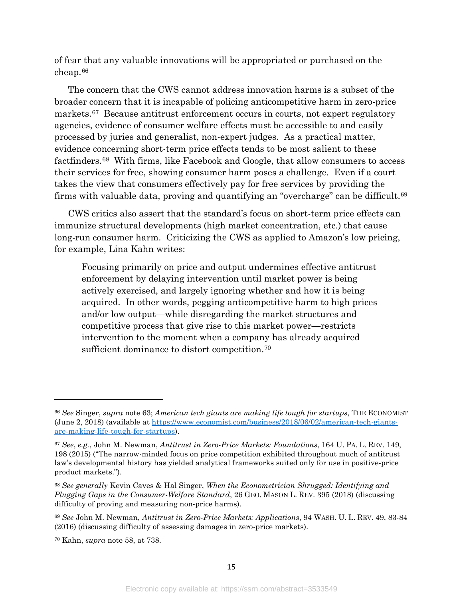of fear that any valuable innovations will be appropriated or purchased on the cheap.[66](#page-15-0)

The concern that the CWS cannot address innovation harms is a subset of the broader concern that it is incapable of policing anticompetitive harm in zero-price markets.[67](#page-15-1) Because antitrust enforcement occurs in courts, not expert regulatory agencies, evidence of consumer welfare effects must be accessible to and easily processed by juries and generalist, non-expert judges. As a practical matter, evidence concerning short-term price effects tends to be most salient to these factfinders.[68](#page-15-2) With firms, like Facebook and Google, that allow consumers to access their services for free, showing consumer harm poses a challenge. Even if a court takes the view that consumers effectively pay for free services by providing the firms with valuable data, proving and quantifying an "overcharge" can be difficult.[69](#page-15-3)

CWS critics also assert that the standard's focus on short-term price effects can immunize structural developments (high market concentration, etc.) that cause long-run consumer harm. Criticizing the CWS as applied to Amazon's low pricing, for example, Lina Kahn writes:

Focusing primarily on price and output undermines effective antitrust enforcement by delaying intervention until market power is being actively exercised, and largely ignoring whether and how it is being acquired. In other words, pegging anticompetitive harm to high prices and/or low output—while disregarding the market structures and competitive process that give rise to this market power—restricts intervention to the moment when a company has already acquired sufficient dominance to distort competition.[70](#page-15-4)

<span id="page-15-0"></span><sup>66</sup> *See* Singer, *supra* note [63;](#page-14-5) *American tech giants are making life tough for startups*, THE ECONOMIST (June 2, 2018) (available at [https://www.economist.com/business/2018/06/02/american-tech-giants](https://www.economist.com/business/2018/06/02/american-tech-giants-are-making-life-tough-for-startups)[are-making-life-tough-for-startups\)](https://www.economist.com/business/2018/06/02/american-tech-giants-are-making-life-tough-for-startups).

<span id="page-15-1"></span><sup>67</sup> *See*, *e.g.*, John M. Newman, *Antitrust in Zero-Price Markets: Foundations*, 164 U. PA. L. REV. 149, 198 (2015) ("The narrow-minded focus on price competition exhibited throughout much of antitrust law's developmental history has yielded analytical frameworks suited only for use in positive-price product markets.").

<span id="page-15-2"></span><sup>68</sup> *See generally* Kevin Caves & Hal Singer, *When the Econometrician Shrugged: Identifying and Plugging Gaps in the Consumer-Welfare Standard*, 26 GEO. MASON L. REV. 395 (2018) (discussing difficulty of proving and measuring non-price harms).

<span id="page-15-3"></span><sup>69</sup> *See* John M. Newman, *Antitrust in Zero-Price Markets: Applications*, 94 WASH. U. L. REV. 49, 83-84 (2016) (discussing difficulty of assessing damages in zero-price markets).

<span id="page-15-4"></span><sup>70</sup> Kahn, *supra* note [58,](#page-13-6) at 738.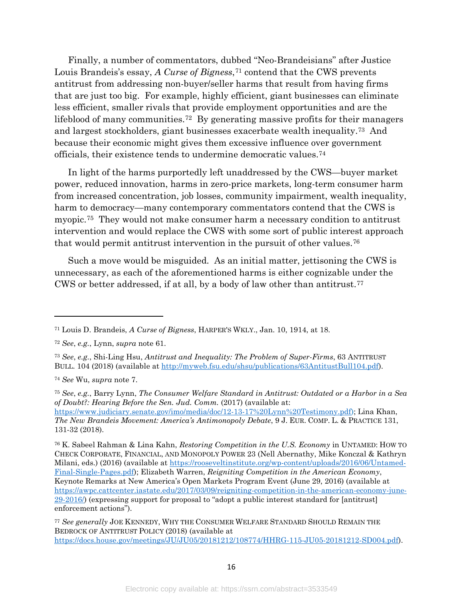Finally, a number of commentators, dubbed "Neo-Brandeisians" after Justice Louis Brandeis's essay, *A Curse of Bigness*<sup>[71](#page-16-0)</sup> contend that the CWS prevents antitrust from addressing non-buyer/seller harms that result from having firms that are just too big. For example, highly efficient, giant businesses can eliminate less efficient, smaller rivals that provide employment opportunities and are the lifeblood of many communities.[72](#page-16-1) By generating massive profits for their managers and largest stockholders, giant businesses exacerbate wealth inequality.[73](#page-16-2) And because their economic might gives them excessive influence over government officials, their existence tends to undermine democratic values.[74](#page-16-3) 

In light of the harms purportedly left unaddressed by the CWS—buyer market power, reduced innovation, harms in zero-price markets, long-term consumer harm from increased concentration, job losses, community impairment, wealth inequality, harm to democracy—many contemporary commentators contend that the CWS is myopic.[75](#page-16-4) They would not make consumer harm a necessary condition to antitrust intervention and would replace the CWS with some sort of public interest approach that would permit antitrust intervention in the pursuit of other values.[76](#page-16-5)

<span id="page-16-9"></span><span id="page-16-8"></span><span id="page-16-7"></span>Such a move would be misguided. As an initial matter, jettisoning the CWS is unnecessary, as each of the aforementioned harms is either cognizable under the CWS or better addressed, if at all, by a body of law other than antitrust.[77](#page-16-6) 

<span id="page-16-3"></span><sup>74</sup> *See* Wu, *supra* note [7.](#page-2-8)

l

<span id="page-16-4"></span><sup>75</sup> *See*, *e.g.*, Barry Lynn, *The Consumer Welfare Standard in Antitrust: Outdated or a Harbor in a Sea of Doubt?: Hearing Before the Sen. Jud. Comm.* (2017) (available at: [https://www.judiciary.senate.gov/imo/media/doc/12-13-17%20Lynn%20Testimony.pdf\)](https://www.judiciary.senate.gov/imo/media/doc/12-13-17%20Lynn%20Testimony.pdf); Lina Khan, *The New Brandeis Movement: America's Antimonopoly Debate*, 9 J. EUR. COMP. L. & PRACTICE 131, 131-32 (2018).

<span id="page-16-5"></span><sup>76</sup> K. Sabeel Rahman & Lina Kahn, *Restoring Competition in the U.S. Economy* in UNTAMED: HOW TO CHECK CORPORATE, FINANCIAL, AND MONOPOLY POWER 23 (Nell Abernathy, Mike Konczal & Kathryn Milani, eds.) (2016) (available at [https://rooseveltinstitute.org/wp-content/uploads/2016/06/Untamed-](https://rooseveltinstitute.org/wp-content/uploads/2016/06/Untamed-Final-Single-Pages.pdf)[Final-Single-Pages.pdf\)](https://rooseveltinstitute.org/wp-content/uploads/2016/06/Untamed-Final-Single-Pages.pdf); Elizabeth Warren, *Reigniting Competition in the American Economy*, Keynote Remarks at New America's Open Markets Program Event (June 29, 2016) (available at [https://awpc.cattcenter.iastate.edu/2017/03/09/reigniting-competition-in-the-american-economy-june-](https://awpc.cattcenter.iastate.edu/2017/03/09/reigniting-competition-in-the-american-economy-june-29-2016/)[29-2016/\)](https://awpc.cattcenter.iastate.edu/2017/03/09/reigniting-competition-in-the-american-economy-june-29-2016/) (expressing support for proposal to "adopt a public interest standard for [antitrust] enforcement actions").

<span id="page-16-6"></span><sup>77</sup> *See generally* JOE KENNEDY, WHY THE CONSUMER WELFARE STANDARD SHOULD REMAIN THE BEDROCK OF ANTITRUST POLICY (2018) (available at [https://docs.house.gov/meetings/JU/JU05/20181212/108774/HHRG-115-JU05-20181212-SD004.pdf\)](https://docs.house.gov/meetings/JU/JU05/20181212/108774/HHRG-115-JU05-20181212-SD004.pdf).

<span id="page-16-0"></span><sup>71</sup> Louis D. Brandeis, *A Curse of Bigness*, HARPER'S WKLY., Jan. 10, 1914, at 18.

<span id="page-16-1"></span><sup>72</sup> *See*, *e.g.*, Lynn, *supra* note [61.](#page-14-6)

<span id="page-16-2"></span><sup>73</sup> *See*, *e.g.*, Shi-Ling Hsu, *Antitrust and Inequality: The Problem of Super-Firms*, 63 ANTITRUST BULL. 104 (2018) (available at [http://myweb.fsu.edu/shsu/publications/63AntitustBull104.pdf\)](http://myweb.fsu.edu/shsu/publications/63AntitustBull104.pdf).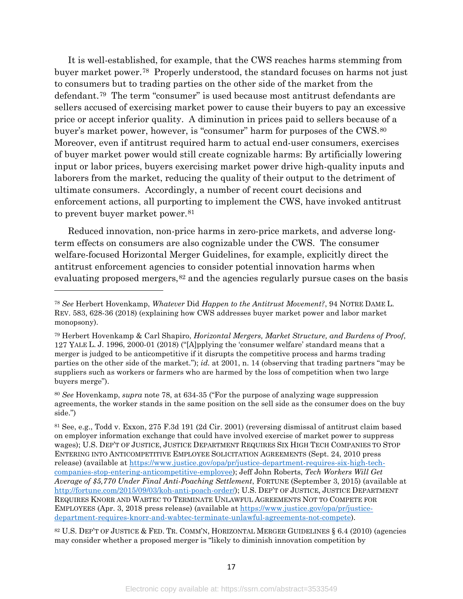<span id="page-17-0"></span>It is well-established, for example, that the CWS reaches harms stemming from buyer market power.[78](#page-17-1) Properly understood, the standard focuses on harms not just to consumers but to trading parties on the other side of the market from the defendant.[79](#page-17-2) The term "consumer" is used because most antitrust defendants are sellers accused of exercising market power to cause their buyers to pay an excessive price or accept inferior quality. A diminution in prices paid to sellers because of a buyer's market power, however, is "consumer" harm for purposes of the CWS.[80](#page-17-3) Moreover, even if antitrust required harm to actual end-user consumers, exercises of buyer market power would still create cognizable harms: By artificially lowering input or labor prices, buyers exercising market power drive high-quality inputs and laborers from the market, reducing the quality of their output to the detriment of ultimate consumers. Accordingly, a number of recent court decisions and enforcement actions, all purporting to implement the CWS, have invoked antitrust to prevent buyer market power.<sup>[81](#page-17-4)</sup>

Reduced innovation, non-price harms in zero-price markets, and adverse longterm effects on consumers are also cognizable under the CWS. The consumer welfare-focused Horizontal Merger Guidelines, for example, explicitly direct the antitrust enforcement agencies to consider potential innovation harms when evaluating proposed mergers,<sup>[82](#page-17-5)</sup> and the agencies regularly pursue cases on the basis

l

<span id="page-17-5"></span><sup>82</sup> U.S. DEP'T OF JUSTICE & FED. TR. COMM'N, HORIZONTAL MERGER GUIDELINES § 6.4 (2010) (agencies may consider whether a proposed merger is "likely to diminish innovation competition by

<span id="page-17-1"></span><sup>78</sup> *See* Herbert Hovenkamp, *Whatever* Did *Happen to the Antitrust Movement?*, 94 NOTRE DAME L. REV. 583, 628-36 (2018) (explaining how CWS addresses buyer market power and labor market monopsony).

<span id="page-17-2"></span><sup>79</sup> Herbert Hovenkamp & Carl Shapiro, *Horizontal Mergers, Market Structure, and Burdens of Proof*, 127 YALE L. J. 1996, 2000-01 (2018) ("[A]pplying the 'consumer welfare' standard means that a merger is judged to be anticompetitive if it disrupts the competitive process and harms trading parties on the other side of the market."); *id.* at 2001, n. 14 (observing that trading partners "may be suppliers such as workers or farmers who are harmed by the loss of competition when two large buyers merge").

<span id="page-17-3"></span><sup>80</sup> *See* Hovenkamp, *supra* note [78,](#page-17-0) at 634-35 ("For the purpose of analyzing wage suppression agreements, the worker stands in the same position on the sell side as the consumer does on the buy side.")

<span id="page-17-4"></span><sup>81</sup> See, e.g., Todd v. Exxon, 275 F.3d 191 (2d Cir. 2001) (reversing dismissal of antitrust claim based on employer information exchange that could have involved exercise of market power to suppress wages); U.S. DEP'T OF JUSTICE, JUSTICE DEPARTMENT REQUIRES SIX HIGH TECH COMPANIES TO STOP ENTERING INTO ANTICOMPETITIVE EMPLOYEE SOLICITATION AGREEMENTS (Sept. 24, 2010 press release) (available at [https://www.justice.gov/opa/pr/justice-department-requires-six-high-tech](https://www.justice.gov/opa/pr/justice-department-requires-six-high-tech-companies-stop-entering-anticompetitive-employee)[companies-stop-entering-anticompetitive-employee\)](https://www.justice.gov/opa/pr/justice-department-requires-six-high-tech-companies-stop-entering-anticompetitive-employee); Jeff John Roberts, *Tech Workers Will Get Average of \$5,770 Under Final Anti-Poaching Settlement*, FORTUNE (September 3, 2015) (available at [http://fortune.com/2015/09/03/koh-anti-poach-order/\)](http://fortune.com/2015/09/03/koh-anti-poach-order/); U.S. DEP'T OF JUSTICE, JUSTICE DEPARTMENT REQUIRES KNORR AND WABTEC TO TERMINATE UNLAWFUL AGREEMENTS NOT TO COMPETE FOR EMPLOYEES (Apr. 3, 2018 press release) (available at [https://www.justice.gov/opa/pr/justice](https://www.justice.gov/opa/pr/justice-department-requires-knorr-and-wabtec-terminate-unlawful-agreements-not-compete)[department-requires-knorr-and-wabtec-terminate-unlawful-agreements-not-compete\)](https://www.justice.gov/opa/pr/justice-department-requires-knorr-and-wabtec-terminate-unlawful-agreements-not-compete).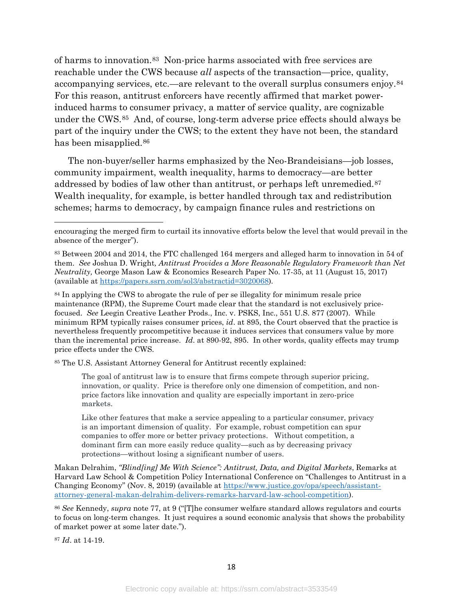of harms to innovation.[83](#page-18-0) Non-price harms associated with free services are reachable under the CWS because *all* aspects of the transaction—price, quality, accompanying services, etc.—are relevant to the overall surplus consumers enjoy.[84](#page-18-1) For this reason, antitrust enforcers have recently affirmed that market powerinduced harms to consumer privacy, a matter of service quality, are cognizable under the CWS.[85](#page-18-2) And, of course, long-term adverse price effects should always be part of the inquiry under the CWS; to the extent they have not been, the standard has been misapplied.<sup>86</sup>

The non-buyer/seller harms emphasized by the Neo-Brandeisians—job losses, community impairment, wealth inequality, harms to democracy—are better addressed by bodies of law other than antitrust, or perhaps left unremedied.<sup>[87](#page-18-4)</sup> Wealth inequality, for example, is better handled through tax and redistribution schemes; harms to democracy, by campaign finance rules and restrictions on

<span id="page-18-2"></span><sup>85</sup> The U.S. Assistant Attorney General for Antitrust recently explained:

The goal of antitrust law is to ensure that firms compete through superior pricing, innovation, or quality. Price is therefore only one dimension of competition, and nonprice factors like innovation and quality are especially important in zero-price markets.

Like other features that make a service appealing to a particular consumer, privacy is an important dimension of quality. For example, robust competition can spur companies to offer more or better privacy protections. Without competition, a dominant firm can more easily reduce quality—such as by decreasing privacy protections—without losing a significant number of users.

Makan Delrahim, *"Blind[ing] Me With Science": Antitrust, Data, and Digital Markets*, Remarks at Harvard Law School & Competition Policy International Conference on "Challenges to Antitrust in a Changing Economy" (Nov. 8, 2019) (available at [https://www.justice.gov/opa/speech/assistant](https://www.justice.gov/opa/speech/assistant-attorney-general-makan-delrahim-delivers-remarks-harvard-law-school-competition)[attorney-general-makan-delrahim-delivers-remarks-harvard-law-school-competition\)](https://www.justice.gov/opa/speech/assistant-attorney-general-makan-delrahim-delivers-remarks-harvard-law-school-competition).

<span id="page-18-3"></span><sup>86</sup> *See* Kennedy, *supra* note [77,](#page-16-7) at 9 ("[T]he consumer welfare standard allows regulators and courts to focus on long-term changes. It just requires a sound economic analysis that shows the probability of market power at some later date.").

<span id="page-18-4"></span><sup>87</sup> *Id*. at 14-19.

encouraging the merged firm to curtail its innovative efforts below the level that would prevail in the absence of the merger").

<span id="page-18-0"></span><sup>83</sup> Between 2004 and 2014, the FTC challenged 164 mergers and alleged harm to innovation in 54 of them. *See* Joshua D. Wright*, Antitrust Provides a More Reasonable Regulatory Framework than Net Neutrality,* George Mason Law & Economics Research Paper No. 17-35, at 11 (August 15, 2017) (available at [https://papers.ssrn.com/sol3/abstractid=3020068\)](https://papers.ssrn.com/sol3/abstractid=3020068)*.*

<span id="page-18-1"></span><sup>&</sup>lt;sup>84</sup> In applying the CWS to abrogate the rule of per se illegality for minimum resale price maintenance (RPM), the Supreme Court made clear that the standard is not exclusively pricefocused. *See* Leegin Creative Leather Prods., Inc. v. PSKS, Inc., 551 U.S. 877 (2007). While minimum RPM typically raises consumer prices, *id*. at 895, the Court observed that the practice is nevertheless frequently procompetitive because it induces services that consumers value by more than the incremental price increase. *Id*. at 890-92, 895. In other words, quality effects may trump price effects under the CWS.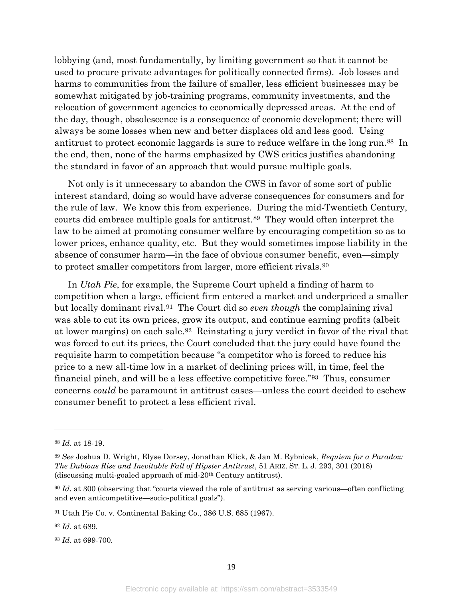lobbying (and, most fundamentally, by limiting government so that it cannot be used to procure private advantages for politically connected firms). Job losses and harms to communities from the failure of smaller, less efficient businesses may be somewhat mitigated by job-training programs, community investments, and the relocation of government agencies to economically depressed areas. At the end of the day, though, obsolescence is a consequence of economic development; there will always be some losses when new and better displaces old and less good. Using antitrust to protect economic laggards is sure to reduce welfare in the long run.[88](#page-19-0) In the end, then, none of the harms emphasized by CWS critics justifies abandoning the standard in favor of an approach that would pursue multiple goals.

Not only is it unnecessary to abandon the CWS in favor of some sort of public interest standard, doing so would have adverse consequences for consumers and for the rule of law. We know this from experience. During the mid-Twentieth Century, courts did embrace multiple goals for antitrust.[89](#page-19-1) They would often interpret the law to be aimed at promoting consumer welfare by encouraging competition so as to lower prices, enhance quality, etc. But they would sometimes impose liability in the absence of consumer harm—in the face of obvious consumer benefit, even—simply to protect smaller competitors from larger, more efficient rivals.<sup>[90](#page-19-2)</sup>

In *Utah Pie*, for example, the Supreme Court upheld a finding of harm to competition when a large, efficient firm entered a market and underpriced a smaller but locally dominant rival.[91](#page-19-3) The Court did so *even though* the complaining rival was able to cut its own prices, grow its output, and continue earning profits (albeit at lower margins) on each sale.[92](#page-19-4) Reinstating a jury verdict in favor of the rival that was forced to cut its prices, the Court concluded that the jury could have found the requisite harm to competition because "a competitor who is forced to reduce his price to a new all-time low in a market of declining prices will, in time, feel the financial pinch, and will be a less effective competitive force."[93](#page-19-5) Thus, consumer concerns *could* be paramount in antitrust cases—unless the court decided to eschew consumer benefit to protect a less efficient rival.

<span id="page-19-0"></span><sup>88</sup> *Id*. at 18-19.

<span id="page-19-1"></span><sup>89</sup> *See* Joshua D. Wright, Elyse Dorsey, Jonathan Klick, & Jan M. Rybnicek, *Requiem for a Paradox: The Dubious Rise and Inevitable Fall of Hipster Antitrust*, 51 ARIZ. ST. L. J. 293, 301 (2018) (discussing multi-goaled approach of mid-20th Century antitrust).

<span id="page-19-2"></span><sup>90</sup> *Id.* at 300 (observing that "courts viewed the role of antitrust as serving various—often conflicting and even anticompetitive—socio-political goals").

<span id="page-19-3"></span><sup>91</sup> Utah Pie Co. v. Continental Baking Co., 386 U.S. 685 (1967).

<span id="page-19-4"></span><sup>92</sup> *Id*. at 689.

<span id="page-19-5"></span><sup>93</sup> *Id*. at 699-700.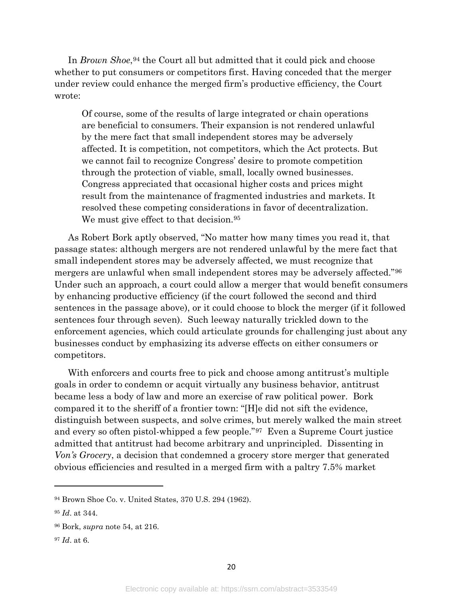In *Brown Shoe*,<sup>[94](#page-20-0)</sup> the Court all but admitted that it could pick and choose whether to put consumers or competitors first. Having conceded that the merger under review could enhance the merged firm's productive efficiency, the Court wrote:

Of course, some of the results of large integrated or chain operations are beneficial to consumers. Their expansion is not rendered unlawful by the mere fact that small independent stores may be adversely affected. It is competition, not competitors, which the Act protects. But we cannot fail to recognize Congress' desire to promote competition through the protection of viable, small, locally owned businesses. Congress appreciated that occasional higher costs and prices might result from the maintenance of fragmented industries and markets. It resolved these competing considerations in favor of decentralization. We must give effect to that decision.<sup>[95](#page-20-1)</sup>

As Robert Bork aptly observed, "No matter how many times you read it, that passage states: although mergers are not rendered unlawful by the mere fact that small independent stores may be adversely affected, we must recognize that mergers are unlawful when small independent stores may be adversely affected."[96](#page-20-2) Under such an approach, a court could allow a merger that would benefit consumers by enhancing productive efficiency (if the court followed the second and third sentences in the passage above), or it could choose to block the merger (if it followed sentences four through seven). Such leeway naturally trickled down to the enforcement agencies, which could articulate grounds for challenging just about any businesses conduct by emphasizing its adverse effects on either consumers or competitors.

With enforcers and courts free to pick and choose among antitrust's multiple goals in order to condemn or acquit virtually any business behavior, antitrust became less a body of law and more an exercise of raw political power. Bork compared it to the sheriff of a frontier town: "[H]e did not sift the evidence, distinguish between suspects, and solve crimes, but merely walked the main street and every so often pistol-whipped a few people."[97](#page-20-3) Even a Supreme Court justice admitted that antitrust had become arbitrary and unprincipled. Dissenting in *Von's Grocery*, a decision that condemned a grocery store merger that generated obvious efficiencies and resulted in a merged firm with a paltry 7.5% market

 $\overline{\phantom{a}}$ 

<span id="page-20-3"></span><sup>97</sup> *Id*. at 6.

<span id="page-20-0"></span><sup>94</sup> Brown Shoe Co. v. United States, 370 U.S. 294 (1962).

<span id="page-20-1"></span><sup>95</sup> *Id*. at 344.

<span id="page-20-2"></span><sup>96</sup> Bork, *supra* note [54,](#page-12-3) at 216.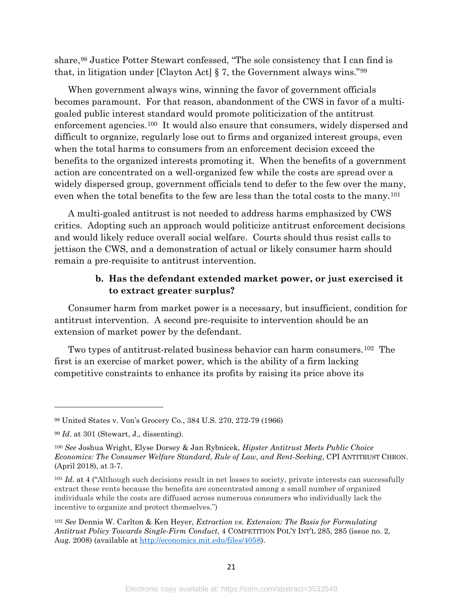share,[98](#page-21-0) Justice Potter Stewart confessed, "The sole consistency that I can find is that, in litigation under [Clayton Act] § 7, the Government always wins."[99](#page-21-1)

When government always wins, winning the favor of government officials becomes paramount. For that reason, abandonment of the CWS in favor of a multigoaled public interest standard would promote politicization of the antitrust enforcement agencies.[100](#page-21-2) It would also ensure that consumers, widely dispersed and difficult to organize, regularly lose out to firms and organized interest groups, even when the total harms to consumers from an enforcement decision exceed the benefits to the organized interests promoting it. When the benefits of a government action are concentrated on a well-organized few while the costs are spread over a widely dispersed group, government officials tend to defer to the few over the many, even when the total benefits to the few are less than the total costs to the many[.101](#page-21-3) 

A multi-goaled antitrust is not needed to address harms emphasized by CWS critics. Adopting such an approach would politicize antitrust enforcement decisions and would likely reduce overall social welfare. Courts should thus resist calls to jettison the CWS, and a demonstration of actual or likely consumer harm should remain a pre-requisite to antitrust intervention.

#### <span id="page-21-5"></span>**b. Has the defendant extended market power, or just exercised it to extract greater surplus?**

Consumer harm from market power is a necessary, but insufficient, condition for antitrust intervention. A second pre-requisite to intervention should be an extension of market power by the defendant.

Two types of antitrust-related business behavior can harm consumers.[102](#page-21-4) The first is an exercise of market power, which is the ability of a firm lacking competitive constraints to enhance its profits by raising its price above its

<span id="page-21-0"></span><sup>98</sup> United States v. Von's Grocery Co., 384 U.S. 270, 272-79 (1966)

<span id="page-21-1"></span><sup>99</sup> *Id*. at 301 (Stewart, J., dissenting).

<span id="page-21-2"></span><sup>100</sup> *See* Joshua Wright, Elyse Dorsey & Jan Rybnicek, *Hipster Antitrust Meets Public Choice Economics: The Consumer Welfare Standard, Rule of Law, and Rent-Seeking*, CPI ANTITRUST CHRON. (April 2018), at 3-7.

<span id="page-21-3"></span><sup>&</sup>lt;sup>101</sup> *Id.* at 4 ("Although such decisions result in net losses to society, private interests can successfully extract these rents because the benefits are concentrated among a small number of organized individuals while the costs are diffused across numerous consumers who individually lack the incentive to organize and protect themselves.")

<span id="page-21-4"></span><sup>102</sup> *See* Dennis W. Carlton & Ken Heyer, *Extraction vs. Extension: The Basis for Formulating Antitrust Policy Towards Single-Firm Conduct*, 4 COMPETITION POL'Y INT'L 285, 285 (issue no. 2, Aug. 2008) (available at [http://economics.mit.edu/files/4058\)](http://economics.mit.edu/files/4058).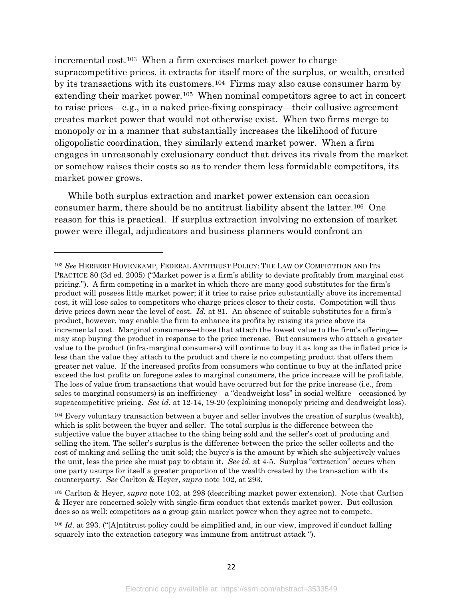<span id="page-22-4"></span>incremental cost.[103](#page-22-0) When a firm exercises market power to charge supracompetitive prices, it extracts for itself more of the surplus, or wealth, created by its transactions with its customers.[104](#page-22-1) Firms may also cause consumer harm by extending their market power.<sup>[105](#page-22-2)</sup> When nominal competitors agree to act in concert to raise prices—e.g., in a naked price-fixing conspiracy—their collusive agreement creates market power that would not otherwise exist. When two firms merge to monopoly or in a manner that substantially increases the likelihood of future oligopolistic coordination, they similarly extend market power. When a firm engages in unreasonably exclusionary conduct that drives its rivals from the market or somehow raises their costs so as to render them less formidable competitors, its market power grows.

While both surplus extraction and market power extension can occasion consumer harm, there should be no antitrust liability absent the latter.[106](#page-22-3) One reason for this is practical. If surplus extraction involving no extension of market power were illegal, adjudicators and business planners would confront an

 $\overline{a}$ 

<span id="page-22-2"></span><sup>105</sup> Carlton & Heyer, *supra* note [102,](#page-21-5) at 298 (describing market power extension). Note that Carlton & Heyer are concerned solely with single-firm conduct that extends market power. But collusion does so as well: competitors as a group gain market power when they agree not to compete.

<span id="page-22-0"></span><sup>103</sup> *See* HERBERT HOVENKAMP, FEDERAL ANTITRUST POLICY: THE LAW OF COMPETITION AND ITS PRACTICE 80 (3d ed. 2005) ("Market power is a firm's ability to deviate profitably from marginal cost pricing."). A firm competing in a market in which there are many good substitutes for the firm's product will possess little market power; if it tries to raise price substantially above its incremental cost, it will lose sales to competitors who charge prices closer to their costs. Competition will thus drive prices down near the level of cost. *Id.* at 81. An absence of suitable substitutes for a firm's product, however, may enable the firm to enhance its profits by raising its price above its incremental cost. Marginal consumers—those that attach the lowest value to the firm's offering may stop buying the product in response to the price increase. But consumers who attach a greater value to the product (infra-marginal consumers) will continue to buy it as long as the inflated price is less than the value they attach to the product and there is no competing product that offers them greater net value. If the increased profits from consumers who continue to buy at the inflated price exceed the lost profits on foregone sales to marginal consumers, the price increase will be profitable. The loss of value from transactions that would have occurred but for the price increase (i.e., from sales to marginal consumers) is an inefficiency—a "deadweight loss" in social welfare—occasioned by supracompetitive pricing. *See id*. at 12-14, 19-20 (explaining monopoly pricing and deadweight loss).

<span id="page-22-1"></span><sup>104</sup> Every voluntary transaction between a buyer and seller involves the creation of surplus (wealth), which is split between the buyer and seller. The total surplus is the difference between the subjective value the buyer attaches to the thing being sold and the seller's cost of producing and selling the item. The seller's surplus is the difference between the price the seller collects and the cost of making and selling the unit sold; the buyer's is the amount by which she subjectively values the unit, less the price she must pay to obtain it. *See id*. at 4-5. Surplus "extraction" occurs when one party usurps for itself a greater proportion of the wealth created by the transaction with its counterparty. *See* Carlton & Heyer, *supra* note [102,](#page-21-5) at 293.

<span id="page-22-3"></span><sup>106</sup> *Id*. at 293. ("[A]ntitrust policy could be simplified and, in our view, improved if conduct falling squarely into the extraction category was immune from antitrust attack ").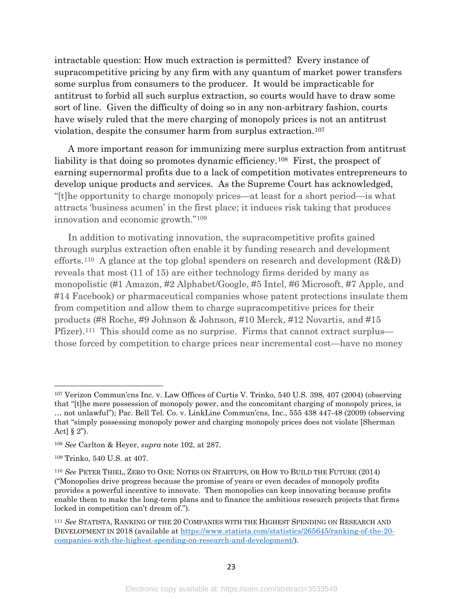intractable question: How much extraction is permitted? Every instance of supracompetitive pricing by any firm with any quantum of market power transfers some surplus from consumers to the producer. It would be impracticable for antitrust to forbid all such surplus extraction, so courts would have to draw some sort of line. Given the difficulty of doing so in any non-arbitrary fashion, courts have wisely ruled that the mere charging of monopoly prices is not an antitrust violation, despite the consumer harm from surplus extraction.[107](#page-23-0)

A more important reason for immunizing mere surplus extraction from antitrust liability is that doing so promotes dynamic efficiency.<sup>108</sup> First, the prospect of earning supernormal profits due to a lack of competition motivates entrepreneurs to develop unique products and services. As the Supreme Court has acknowledged, "[t]he opportunity to charge monopoly prices—at least for a short period—is what attracts 'business acumen' in the first place; it induces risk taking that produces innovation and economic growth."[109](#page-23-2) 

In addition to motivating innovation, the supracompetitive profits gained through surplus extraction often enable it by funding research and development efforts.<sup>110</sup> A glance at the top global spenders on research and development  $(R&D)$ reveals that most (11 of 15) are either technology firms derided by many as monopolistic (#1 Amazon, #2 Alphabet/Google, #5 Intel, #6 Microsoft, #7 Apple, and #14 Facebook) or pharmaceutical companies whose patent protections insulate them from competition and allow them to charge supracompetitive prices for their products (#8 Roche, #9 Johnson & Johnson, #10 Merck, #12 Novartis, and #15 Pfizer).[111](#page-23-4) This should come as no surprise. Firms that cannot extract surplus those forced by competition to charge prices near incremental cost—have no money

<span id="page-23-0"></span><sup>107</sup> Verizon Commun'cns Inc. v. Law Offices of Curtis V. Trinko, 540 U.S. 398, 407 (2004) (observing that "[t]he mere possession of monopoly power, and the concomitant charging of monopoly prices, is … not unlawful"); Pac. Bell Tel. Co. v. LinkLine Commun'cns, Inc., 555 438 447-48 (2009) (observing that "simply possessing monopoly power and charging monopoly prices does not violate [Sherman Act]  $\S 2$ ").

<span id="page-23-1"></span><sup>108</sup> *See* Carlton & Heyer, *supra* note [102,](#page-21-5) at 287.

<span id="page-23-2"></span><sup>109</sup> Trinko, 540 U.S. at 407.

<span id="page-23-3"></span><sup>110</sup> *See* PETER THIEL, ZERO TO ONE: NOTES ON STARTUPS, OR HOW TO BUILD THE FUTURE (2014) ("Monopolies drive progress because the promise of years or even decades of monopoly profits provides a powerful incentive to innovate. Then monopolies can keep innovating because profits enable them to make the long-term plans and to finance the ambitious research projects that firms locked in competition can't dream of.").

<span id="page-23-4"></span><sup>111</sup> *See* STATISTA, RANKING OF THE 20 COMPANIES WITH THE HIGHEST SPENDING ON RESEARCH AND DEVELOPMENT IN 2018 (available at [https://www.statista.com/statistics/265645/ranking-of-the-20](https://www.statista.com/statistics/265645/ranking-of-the-20-companies-with-the-highest-spending-on-research-and-development/) [companies-with-the-highest-spending-on-research-and-development/\)](https://www.statista.com/statistics/265645/ranking-of-the-20-companies-with-the-highest-spending-on-research-and-development/).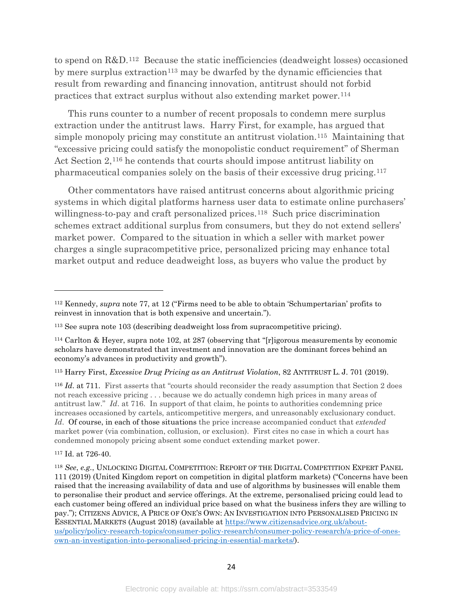to spend on R&D.[112](#page-24-0) Because the static inefficiencies (deadweight losses) occasioned by mere surplus extraction<sup>[113](#page-24-1)</sup> may be dwarfed by the dynamic efficiencies that result from rewarding and financing innovation, antitrust should not forbid practices that extract surplus without also extending market power.[114](#page-24-2)

This runs counter to a number of recent proposals to condemn mere surplus extraction under the antitrust laws. Harry First, for example, has argued that simple monopoly pricing may constitute an antitrust violation[.115](#page-24-3) Maintaining that "excessive pricing could satisfy the monopolistic conduct requirement" of Sherman Act Section 2,[116](#page-24-4) he contends that courts should impose antitrust liability on pharmaceutical companies solely on the basis of their excessive drug pricing.[117](#page-24-5)

<span id="page-24-7"></span>Other commentators have raised antitrust concerns about algorithmic pricing systems in which digital platforms harness user data to estimate online purchasers' willingness-to-pay and craft personalized prices.<sup>118</sup> Such price discrimination schemes extract additional surplus from consumers, but they do not extend sellers' market power. Compared to the situation in which a seller with market power charges a single supracompetitive price, personalized pricing may enhance total market output and reduce deadweight loss, as buyers who value the product by

<span id="page-24-4"></span><sup>116</sup> *Id*. at 711. First asserts that "courts should reconsider the ready assumption that Section 2 does not reach excessive pricing . . . because we do actually condemn high prices in many areas of antitrust law." *Id*. at 716. In support of that claim, he points to authorities condemning price increases occasioned by cartels, anticompetitive mergers, and unreasonably exclusionary conduct. *Id*. Of course, in each of those situations the price increase accompanied conduct that *extended* market power (via combination, collusion, or exclusion). First cites no case in which a court has condemned monopoly pricing absent some conduct extending market power.

<span id="page-24-5"></span><sup>117</sup> Id. at 726-40.

l

<span id="page-24-0"></span><sup>112</sup> Kennedy, *supra* note [77,](#page-16-7) at 12 ("Firms need to be able to obtain 'Schumpertarian' profits to reinvest in innovation that is both expensive and uncertain.").

<span id="page-24-1"></span><sup>113</sup> See supra note [103](#page-22-4) (describing deadweight loss from supracompetitive pricing).

<span id="page-24-2"></span><sup>114</sup> Carlton & Heyer, supra note [102,](#page-21-5) at 287 (observing that "[r]igorous measurements by economic scholars have demonstrated that investment and innovation are the dominant forces behind an economy's advances in productivity and growth").

<span id="page-24-3"></span><sup>115</sup> Harry First, *Excessive Drug Pricing as an Antitrust Violation*, 82 ANTITRUST L. J. 701 (2019).

<span id="page-24-6"></span><sup>118</sup> *See*, *e.g.*, UNLOCKING DIGITAL COMPETITION: REPORT OF THE DIGITAL COMPETITION EXPERT PANEL 111 (2019) (United Kingdom report on competition in digital platform markets) ("Concerns have been raised that the increasing availability of data and use of algorithms by businesses will enable them to personalise their product and service offerings. At the extreme, personalised pricing could lead to each customer being offered an individual price based on what the business infers they are willing to pay."); CITIZENS ADVICE, A PRICE OF ONE'S OWN: AN INVESTIGATION INTO PERSONALISED PRICING IN ESSENTIAL MARKETS (August 2018) (available at [https://www.citizensadvice.org.uk/about](https://www.citizensadvice.org.uk/about-us/policy/policy-research-topics/consumer-policy-research/consumer-policy-research/a-price-of-ones-own-an-investigation-into-personalised-pricing-in-essential-markets/)[us/policy/policy-research-topics/consumer-policy-research/consumer-policy-research/a-price-of-ones](https://www.citizensadvice.org.uk/about-us/policy/policy-research-topics/consumer-policy-research/consumer-policy-research/a-price-of-ones-own-an-investigation-into-personalised-pricing-in-essential-markets/)[own-an-investigation-into-personalised-pricing-in-essential-markets/\)](https://www.citizensadvice.org.uk/about-us/policy/policy-research-topics/consumer-policy-research/consumer-policy-research/a-price-of-ones-own-an-investigation-into-personalised-pricing-in-essential-markets/).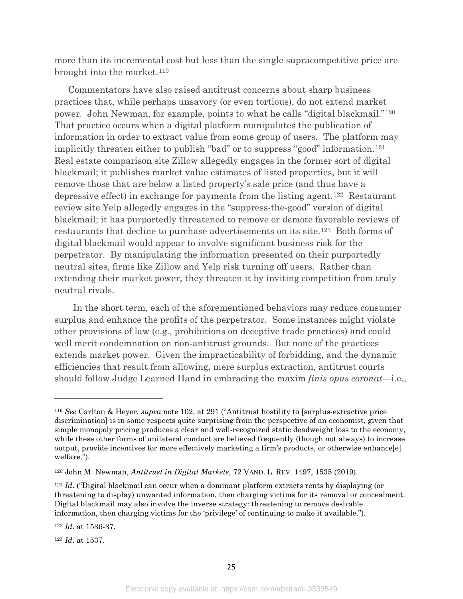more than its incremental cost but less than the single supracompetitive price are brought into the market.<sup>[119](#page-25-0)</sup>

Commentators have also raised antitrust concerns about sharp business practices that, while perhaps unsavory (or even tortious), do not extend market power. John Newman, for example, points to what he calls "digital blackmail."[120](#page-25-1)  That practice occurs when a digital platform manipulates the publication of information in order to extract value from some group of users. The platform may implicitly threaten either to publish "bad" or to suppress "good" information.<sup>121</sup> Real estate comparison site Zillow allegedly engages in the former sort of digital blackmail; it publishes market value estimates of listed properties, but it will remove those that are below a listed property's sale price (and thus have a depressive effect) in exchange for payments from the listing agent.[122](#page-25-3) Restaurant review site Yelp allegedly engages in the "suppress-the-good" version of digital blackmail; it has purportedly threatened to remove or demote favorable reviews of restaurants that decline to purchase advertisements on its site.[123](#page-25-4) Both forms of digital blackmail would appear to involve significant business risk for the perpetrator. By manipulating the information presented on their purportedly neutral sites, firms like Zillow and Yelp risk turning off users. Rather than extending their market power, they threaten it by inviting competition from truly neutral rivals.

 In the short term, each of the aforementioned behaviors may reduce consumer surplus and enhance the profits of the perpetrator. Some instances might violate other provisions of law (e.g., prohibitions on deceptive trade practices) and could well merit condemnation on non-antitrust grounds. But none of the practices extends market power. Given the impracticability of forbidding, and the dynamic efficiencies that result from allowing, mere surplus extraction, antitrust courts should follow Judge Learned Hand in embracing the maxim *finis opus coronat—*i.e.,

<span id="page-25-4"></span><sup>123</sup> *Id*. at 1537.

<span id="page-25-0"></span><sup>119</sup> *See* Carlton & Heyer, *supra* note [102,](#page-21-5) at 291 ("Antitrust hostility to [surplus-extractive price discrimination] is in some respects quite surprising from the perspective of an economist, given that simple monopoly pricing produces a clear and well-recognized static deadweight loss to the economy, while these other forms of unilateral conduct are believed frequently (though not always) to increase output, provide incentives for more effectively marketing a firm's products, or otherwise enhance[e] welfare.").

<span id="page-25-1"></span><sup>120</sup> John M. Newman, *Antitrust in Digital Markets*, 72 VAND. L. REV. 1497, 1535 (2019).

<span id="page-25-2"></span><sup>121</sup> *Id*. ("Digital blackmail can occur when a dominant platform extracts rents by displaying (or threatening to display) unwanted information, then charging victims for its removal or concealment. Digital blackmail may also involve the inverse strategy: threatening to remove desirable information, then charging victims for the 'privilege' of continuing to make it available.").

<span id="page-25-3"></span><sup>122</sup> *Id*. at 1536-37.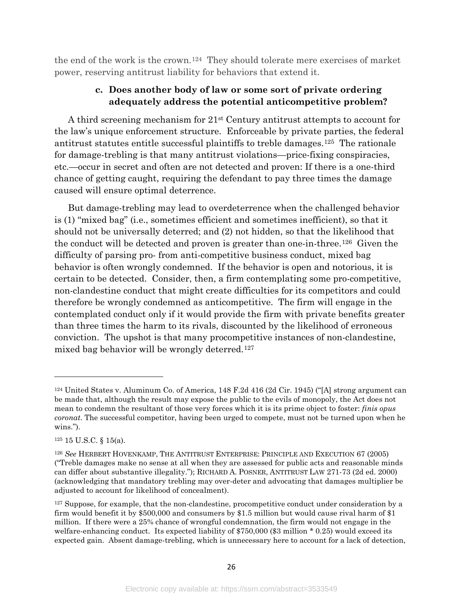the end of the work is the crown.[124](#page-26-0) They should tolerate mere exercises of market power, reserving antitrust liability for behaviors that extend it.

#### **c. Does another body of law or some sort of private ordering adequately address the potential anticompetitive problem?**

A third screening mechanism for 21st Century antitrust attempts to account for the law's unique enforcement structure. Enforceable by private parties, the federal antitrust statutes entitle successful plaintiffs to treble damages.[125](#page-26-1) The rationale for damage-trebling is that many antitrust violations—price-fixing conspiracies, etc.—occur in secret and often are not detected and proven: If there is a one-third chance of getting caught, requiring the defendant to pay three times the damage caused will ensure optimal deterrence.

But damage-trebling may lead to overdeterrence when the challenged behavior is (1) "mixed bag" (i.e., sometimes efficient and sometimes inefficient), so that it should not be universally deterred; and (2) not hidden, so that the likelihood that the conduct will be detected and proven is greater than one-in-three.[126](#page-26-2) Given the difficulty of parsing pro- from anti-competitive business conduct, mixed bag behavior is often wrongly condemned. If the behavior is open and notorious, it is certain to be detected. Consider, then, a firm contemplating some pro-competitive, non-clandestine conduct that might create difficulties for its competitors and could therefore be wrongly condemned as anticompetitive. The firm will engage in the contemplated conduct only if it would provide the firm with private benefits greater than three times the harm to its rivals, discounted by the likelihood of erroneous conviction. The upshot is that many procompetitive instances of non-clandestine, mixed bag behavior will be wrongly deterred.[127](#page-26-3)

<span id="page-26-0"></span><sup>124</sup> United States v. Aluminum Co. of America, 148 F.2d 416 (2d Cir. 1945) ("[A] strong argument can be made that, although the result may expose the public to the evils of monopoly, the Act does not mean to condemn the resultant of those very forces which it is its prime object to foster: *finis opus coronat*. The successful competitor, having been urged to compete, must not be turned upon when he wins.").

<span id="page-26-1"></span><sup>125</sup> 15 U.S.C. § 15(a).

<span id="page-26-2"></span><sup>126</sup> *See* HERBERT HOVENKAMP, THE ANTITRUST ENTERPRISE: PRINCIPLE AND EXECUTION 67 (2005) ("Treble damages make no sense at all when they are assessed for public acts and reasonable minds can differ about substantive illegality."); RICHARD A. POSNER, ANTITRUST LAW 271-73 (2d ed. 2000) (acknowledging that mandatory trebling may over-deter and advocating that damages multiplier be adjusted to account for likelihood of concealment).

<span id="page-26-3"></span><sup>&</sup>lt;sup>127</sup> Suppose, for example, that the non-clandestine, procompetitive conduct under consideration by a firm would benefit it by \$500,000 and consumers by \$1.5 million but would cause rival harm of \$1 million. If there were a 25% chance of wrongful condemnation, the firm would not engage in the welfare-enhancing conduct. Its expected liability of \$750,000 (\$3 million \* 0.25) would exceed its expected gain. Absent damage-trebling, which is unnecessary here to account for a lack of detection,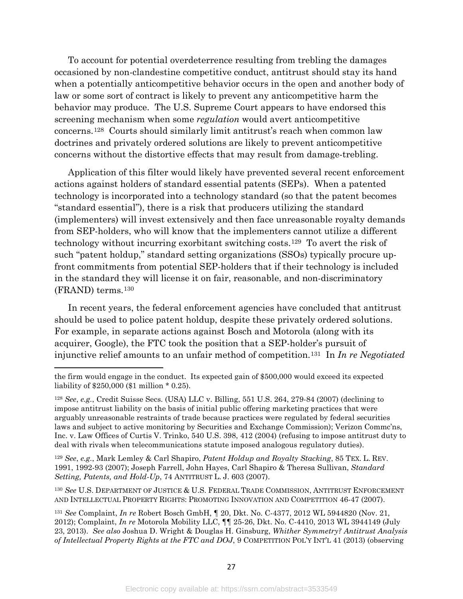To account for potential overdeterrence resulting from trebling the damages occasioned by non-clandestine competitive conduct, antitrust should stay its hand when a potentially anticompetitive behavior occurs in the open and another body of law or some sort of contract is likely to prevent any anticompetitive harm the behavior may produce. The U.S. Supreme Court appears to have endorsed this screening mechanism when some *regulation* would avert anticompetitive concerns.[128](#page-27-0) Courts should similarly limit antitrust's reach when common law doctrines and privately ordered solutions are likely to prevent anticompetitive concerns without the distortive effects that may result from damage-trebling.

Application of this filter would likely have prevented several recent enforcement actions against holders of standard essential patents (SEPs). When a patented technology is incorporated into a technology standard (so that the patent becomes "standard essential"), there is a risk that producers utilizing the standard (implementers) will invest extensively and then face unreasonable royalty demands from SEP-holders, who will know that the implementers cannot utilize a different technology without incurring exorbitant switching costs.[129](#page-27-1) To avert the risk of such "patent holdup," standard setting organizations (SSOs) typically procure upfront commitments from potential SEP-holders that if their technology is included in the standard they will license it on fair, reasonable, and non-discriminatory (FRAND) terms.[130](#page-27-2)

In recent years, the federal enforcement agencies have concluded that antitrust should be used to police patent holdup, despite these privately ordered solutions. For example, in separate actions against Bosch and Motorola (along with its acquirer, Google), the FTC took the position that a SEP-holder's pursuit of injunctive relief amounts to an unfair method of competition.[131](#page-27-3) In *In re Negotiated* 

 $\overline{a}$ 

<span id="page-27-1"></span><sup>129</sup> *See*, *e.g.*, Mark Lemley & Carl Shapiro, *Patent Holdup and Royalty Stacking*, 85 TEX. L. REV. 1991, 1992-93 (2007); Joseph Farrell, John Hayes, Carl Shapiro & Theresa Sullivan, *Standard Setting, Patents, and Hold-Up*, 74 ANTITRUST L. J. 603 (2007).

<span id="page-27-2"></span><sup>130</sup> *See* U.S. DEPARTMENT OF JUSTICE & U.S. FEDERAL TRADE COMMISSION, ANTITRUST ENFORCEMENT AND INTELLECTUAL PROPERTY RIGHTS: PROMOTING INNOVATION AND COMPETITION 46-47 (2007).

the firm would engage in the conduct. Its expected gain of \$500,000 would exceed its expected liability of \$250,000 (\$1 million \* 0.25).

<span id="page-27-0"></span><sup>128</sup> *See*, *e.g.*, Credit Suisse Secs. (USA) LLC v. Billing, 551 U.S. 264, 279-84 (2007) (declining to impose antitrust liability on the basis of initial public offering marketing practices that were arguably unreasonable restraints of trade because practices were regulated by federal securities laws and subject to active monitoring by Securities and Exchange Commission); Verizon Commc'ns, Inc. v. Law Offices of Curtis V. Trinko, 540 U.S. 398, 412 (2004) (refusing to impose antitrust duty to deal with rivals when telecommunications statute imposed analogous regulatory duties).

<span id="page-27-3"></span><sup>131</sup> *See* Complaint, *In re* Robert Bosch GmbH, ¶ 20, Dkt. No. C-4377, 2012 WL 5944820 (Nov. 21, 2012); Complaint, *In re* Motorola Mobility LLC, ¶¶ 25-26, Dkt. No. C-4410, 2013 WL 3944149 (July 23, 2013). *See also* Joshua D. Wright & Douglas H. Ginsburg, *Whither Symmetry? Antitrust Analysis of Intellectual Property Rights at the FTC and DOJ*, 9 COMPETITION POL'Y INT'L 41 (2013) (observing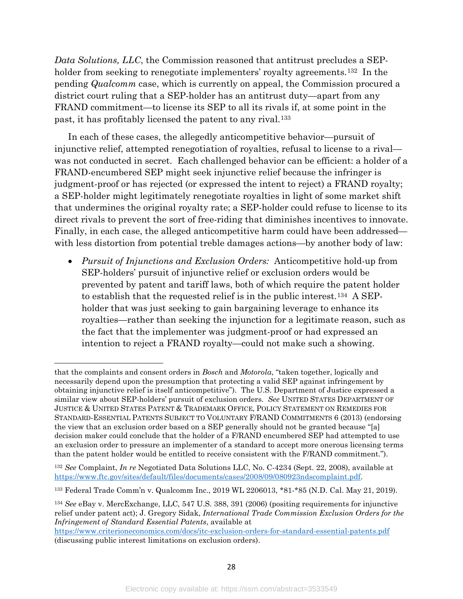*Data Solutions, LLC*, the Commission reasoned that antitrust precludes a SEPholder from seeking to renegotiate implementers' royalty agreements.<sup>132</sup> In the pending *Qualcomm* case, which is currently on appeal, the Commission procured a district court ruling that a SEP-holder has an antitrust duty—apart from any FRAND commitment—to license its SEP to all its rivals if, at some point in the past, it has profitably licensed the patent to any rival.[133](#page-28-1)

In each of these cases, the allegedly anticompetitive behavior—pursuit of injunctive relief, attempted renegotiation of royalties, refusal to license to a rival was not conducted in secret. Each challenged behavior can be efficient: a holder of a FRAND-encumbered SEP might seek injunctive relief because the infringer is judgment-proof or has rejected (or expressed the intent to reject) a FRAND royalty; a SEP-holder might legitimately renegotiate royalties in light of some market shift that undermines the original royalty rate; a SEP-holder could refuse to license to its direct rivals to prevent the sort of free-riding that diminishes incentives to innovate. Finally, in each case, the alleged anticompetitive harm could have been addressed with less distortion from potential treble damages actions—by another body of law:

• *Pursuit of Injunctions and Exclusion Orders:* Anticompetitive hold-up from SEP-holders' pursuit of injunctive relief or exclusion orders would be prevented by patent and tariff laws, both of which require the patent holder to establish that the requested relief is in the public interest.[134](#page-28-2) A SEPholder that was just seeking to gain bargaining leverage to enhance its royalties—rather than seeking the injunction for a legitimate reason, such as the fact that the implementer was judgment-proof or had expressed an intention to reject a FRAND royalty—could not make such a showing.

that the complaints and consent orders in *Bosch* and *Motorola*, "taken together, logically and necessarily depend upon the presumption that protecting a valid SEP against infringement by obtaining injunctive relief is itself anticompetitive"). The U.S. Department of Justice expressed a similar view about SEP-holders' pursuit of exclusion orders. *See* UNITED STATES DEPARTMENT OF JUSTICE & UNITED STATES PATENT & TRADEMARK OFFICE, POLICY STATEMENT ON REMEDIES FOR STANDARD-ESSENTIAL PATENTS SUBJECT TO VOLUNTARY F/RAND COMMITMENTS 6 (2013) (endorsing the view that an exclusion order based on a SEP generally should not be granted because "[a] decision maker could conclude that the holder of a F/RAND encumbered SEP had attempted to use an exclusion order to pressure an implementer of a standard to accept more onerous licensing terms than the patent holder would be entitled to receive consistent with the F/RAND commitment.").

<span id="page-28-0"></span><sup>132</sup> *See* Complaint, *In re* Negotiated Data Solutions LLC, No. C-4234 (Sept. 22, 2008), available at [https://www.ftc.gov/sites/default/files/documents/cases/2008/09/080923ndscomplaint.pdf.](https://www.ftc.gov/sites/default/files/documents/cases/2008/09/080923ndscomplaint.pdf)

<span id="page-28-1"></span><sup>133</sup> Federal Trade Comm'n v. Qualcomm Inc., 2019 WL 2206013, \*81-\*85 (N.D. Cal. May 21, 2019).

<span id="page-28-2"></span><sup>134</sup> *See* eBay v. MercExchange, LLC, 547 U.S. 388, 391 (2006) (positing requirements for injunctive relief under patent act); J. Gregory Sidak, *International Trade Commission Exclusion Orders for the Infringement of Standard Essential Patents*, available at

<https://www.criterioneconomics.com/docs/itc-exclusion-orders-for-standard-essential-patents.pdf> (discussing public interest limitations on exclusion orders).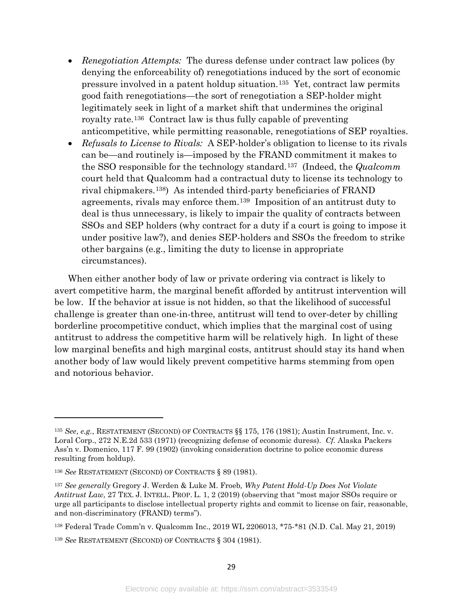- *Renegotiation Attempts:* The duress defense under contract law polices (by denying the enforceability of) renegotiations induced by the sort of economic pressure involved in a patent holdup situation.[135](#page-29-0) Yet, contract law permits good faith renegotiations—the sort of renegotiation a SEP-holder might legitimately seek in light of a market shift that undermines the original royalty rate.[136](#page-29-1) Contract law is thus fully capable of preventing anticompetitive, while permitting reasonable, renegotiations of SEP royalties.
- *Refusals to License to Rivals:* A SEP-holder's obligation to license to its rivals can be—and routinely is—imposed by the FRAND commitment it makes to the SSO responsible for the technology standard.[137](#page-29-2) (Indeed, the *Qualcomm*  court held that Qualcomm had a contractual duty to license its technology to rival chipmakers.[138](#page-29-3)) As intended third-party beneficiaries of FRAND agreements, rivals may enforce them.[139](#page-29-4) Imposition of an antitrust duty to deal is thus unnecessary, is likely to impair the quality of contracts between SSOs and SEP holders (why contract for a duty if a court is going to impose it under positive law?), and denies SEP-holders and SSOs the freedom to strike other bargains (e.g., limiting the duty to license in appropriate circumstances).

When either another body of law or private ordering via contract is likely to avert competitive harm, the marginal benefit afforded by antitrust intervention will be low. If the behavior at issue is not hidden, so that the likelihood of successful challenge is greater than one-in-three, antitrust will tend to over-deter by chilling borderline procompetitive conduct, which implies that the marginal cost of using antitrust to address the competitive harm will be relatively high. In light of these low marginal benefits and high marginal costs, antitrust should stay its hand when another body of law would likely prevent competitive harms stemming from open and notorious behavior.

l

<span id="page-29-4"></span><sup>139</sup> *See* RESTATEMENT (SECOND) OF CONTRACTS § 304 (1981).

<span id="page-29-0"></span><sup>135</sup> *See*, *e.g.*, RESTATEMENT (SECOND) OF CONTRACTS §§ 175, 176 (1981); Austin Instrument, Inc. v. Loral Corp., 272 N.E.2d 533 (1971) (recognizing defense of economic duress). *Cf.* Alaska Packers Ass'n v. Domenico, 117 F. 99 (1902) (invoking consideration doctrine to police economic duress resulting from holdup).

<span id="page-29-1"></span><sup>136</sup> *See* RESTATEMENT (SECOND) OF CONTRACTS § 89 (1981).

<span id="page-29-2"></span><sup>137</sup> *See generally* Gregory J. Werden & Luke M. Froeb*, Why Patent Hold-Up Does Not Violate Antitrust Law,* 27 TEX. J. INTELL. PROP. L. 1, 2 (2019) (observing that "most major SSOs require or urge all participants to disclose intellectual property rights and commit to license on fair, reasonable, and non-discriminatory (FRAND) terms").

<span id="page-29-3"></span><sup>138</sup> Federal Trade Comm'n v. Qualcomm Inc., 2019 WL 2206013, \*75-\*81 (N.D. Cal. May 21, 2019)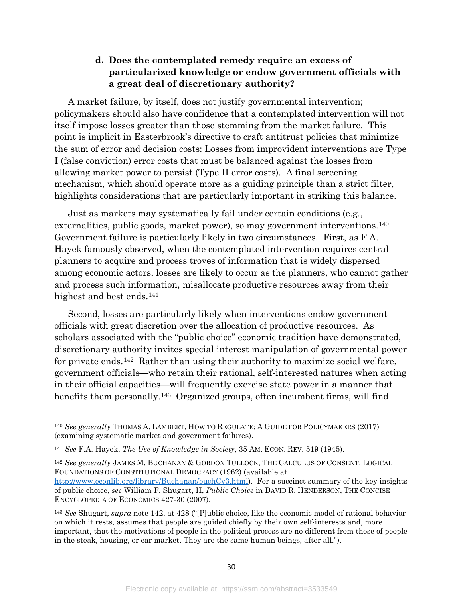#### **d. Does the contemplated remedy require an excess of particularized knowledge or endow government officials with a great deal of discretionary authority?**

A market failure, by itself, does not justify governmental intervention; policymakers should also have confidence that a contemplated intervention will not itself impose losses greater than those stemming from the market failure. This point is implicit in Easterbrook's directive to craft antitrust policies that minimize the sum of error and decision costs: Losses from improvident interventions are Type I (false conviction) error costs that must be balanced against the losses from allowing market power to persist (Type II error costs). A final screening mechanism, which should operate more as a guiding principle than a strict filter, highlights considerations that are particularly important in striking this balance.

Just as markets may systematically fail under certain conditions (e.g., externalities, public goods, market power), so may government interventions.<sup>[140](#page-30-1)</sup> Government failure is particularly likely in two circumstances. First, as F.A. Hayek famously observed, when the contemplated intervention requires central planners to acquire and process troves of information that is widely dispersed among economic actors, losses are likely to occur as the planners, who cannot gather and process such information, misallocate productive resources away from their highest and best ends.<sup>141</sup>

<span id="page-30-0"></span>Second, losses are particularly likely when interventions endow government officials with great discretion over the allocation of productive resources. As scholars associated with the "public choice" economic tradition have demonstrated, discretionary authority invites special interest manipulation of governmental power for private ends.<sup>142</sup> Rather than using their authority to maximize social welfare, government officials—who retain their rational, self-interested natures when acting in their official capacities—will frequently exercise state power in a manner that benefits them personally.[143](#page-30-4) Organized groups, often incumbent firms, will find

l

<span id="page-30-3"></span><sup>142</sup> *See generally* JAMES M. BUCHANAN & GORDON TULLOCK, THE CALCULUS OF CONSENT: LOGICAL FOUNDATIONS OF CONSTITUTIONAL DEMOCRACY (1962) (available at [http://www.econlib.org/library/Buchanan/buchCv3.html\)](http://www.econlib.org/library/Buchanan/buchCv3.html). For a succinct summary of the key insights of public choice, *see* William F. Shugart, II, *Public Choice* in DAVID R. HENDERSON, THE CONCISE ENCYCLOPEDIA OF ECONOMICS 427-30 (2007).

<span id="page-30-1"></span><sup>140</sup> *See generally* THOMAS A. LAMBERT, HOW TO REGULATE: A GUIDE FOR POLICYMAKERS (2017) (examining systematic market and government failures).

<span id="page-30-2"></span><sup>141</sup> *See* F.A. Hayek, *The Use of Knowledge in Society*, 35 AM. ECON. REV. 519 (1945).

<span id="page-30-4"></span><sup>143</sup> *See* Shugart, *supra* note [142,](#page-30-0) at 428 ("[P]ublic choice, like the economic model of rational behavior on which it rests, assumes that people are guided chiefly by their own self-interests and, more important, that the motivations of people in the political process are no different from those of people in the steak, housing, or car market. They are the same human beings, after all.").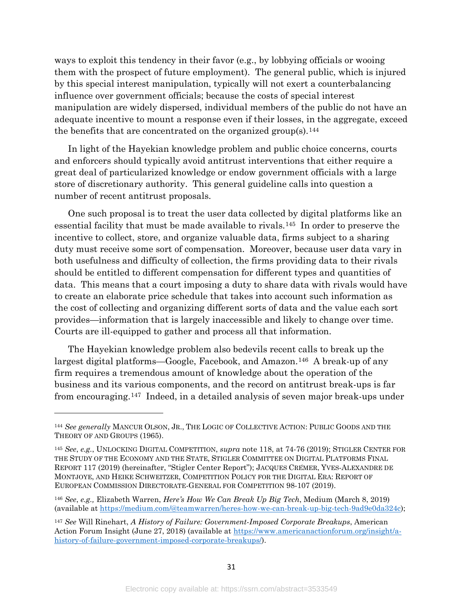ways to exploit this tendency in their favor (e.g., by lobbying officials or wooing them with the prospect of future employment). The general public, which is injured by this special interest manipulation, typically will not exert a counterbalancing influence over government officials; because the costs of special interest manipulation are widely dispersed, individual members of the public do not have an adequate incentive to mount a response even if their losses, in the aggregate, exceed the benefits that are concentrated on the organized group(s).<sup>144</sup>

In light of the Hayekian knowledge problem and public choice concerns, courts and enforcers should typically avoid antitrust interventions that either require a great deal of particularized knowledge or endow government officials with a large store of discretionary authority. This general guideline calls into question a number of recent antitrust proposals.

<span id="page-31-4"></span>One such proposal is to treat the user data collected by digital platforms like an essential facility that must be made available to rivals.[145](#page-31-1) In order to preserve the incentive to collect, store, and organize valuable data, firms subject to a sharing duty must receive some sort of compensation. Moreover, because user data vary in both usefulness and difficulty of collection, the firms providing data to their rivals should be entitled to different compensation for different types and quantities of data. This means that a court imposing a duty to share data with rivals would have to create an elaborate price schedule that takes into account such information as the cost of collecting and organizing different sorts of data and the value each sort provides—information that is largely inaccessible and likely to change over time. Courts are ill-equipped to gather and process all that information.

The Hayekian knowledge problem also bedevils recent calls to break up the largest digital platforms—Google, Facebook, and Amazon.[146](#page-31-2) A break-up of any firm requires a tremendous amount of knowledge about the operation of the business and its various components, and the record on antitrust break-ups is far from encouraging.[147](#page-31-3) Indeed, in a detailed analysis of seven major break-ups under

l

<span id="page-31-0"></span><sup>144</sup> *See generally* MANCUR OLSON, JR., THE LOGIC OF COLLECTIVE ACTION: PUBLIC GOODS AND THE THEORY OF AND GROUPS (1965).

<span id="page-31-1"></span><sup>145</sup> *See*, *e.g.*, UNLOCKING DIGITAL COMPETITION, *supra* note [118,](#page-24-7) at 74-76 (2019); STIGLER CENTER FOR THE STUDY OF THE ECONOMY AND THE STATE, STIGLER COMMITTEE ON DIGITAL PLATFORMS FINAL REPORT 117 (2019) (hereinafter, "Stigler Center Report"); JACQUES CRÉMER, YVES-ALEXANDRE DE MONTJOYE, AND HEIKE SCHWEITZER, COMPETITION POLICY FOR THE DIGITAL ERA: REPORT OF EUROPEAN COMMISSION DIRECTORATE-GENERAL FOR COMPETITION 98-107 (2019).

<span id="page-31-2"></span><sup>146</sup> *See*, *e.g.,* Elizabeth Warren, *Here's How We Can Break Up Big Tech*, Medium (March 8, 2019) (available at [https://medium.com/@teamwarren/heres-how-we-can-break-up-big-tech-9ad9e0da324c\)](https://medium.com/@teamwarren/heres-how-we-can-break-up-big-tech-9ad9e0da324c);

<span id="page-31-3"></span><sup>147</sup> *See* Will Rinehart, *A History of Failure: Government-Imposed Corporate Breakups*, American Action Forum Insight (June 27, 2018) (available at [https://www.americanactionforum.org/insight/a](https://www.americanactionforum.org/insight/a-history-of-failure-government-imposed-corporate-breakups/)[history-of-failure-government-imposed-corporate-breakups/\)](https://www.americanactionforum.org/insight/a-history-of-failure-government-imposed-corporate-breakups/).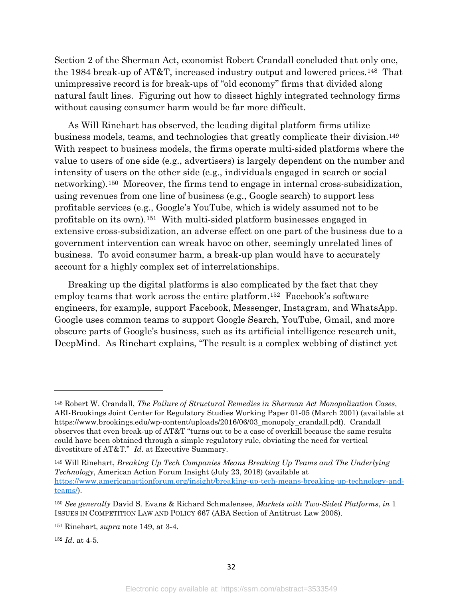Section 2 of the Sherman Act, economist Robert Crandall concluded that only one, the 1984 break-up of AT&T, increased industry output and lowered prices.[148](#page-32-1) That unimpressive record is for break-ups of "old economy" firms that divided along natural fault lines. Figuring out how to dissect highly integrated technology firms without causing consumer harm would be far more difficult.

<span id="page-32-0"></span>As Will Rinehart has observed, the leading digital platform firms utilize business models, teams, and technologies that greatly complicate their division.[149](#page-32-2)  With respect to business models, the firms operate multi-sided platforms where the value to users of one side (e.g., advertisers) is largely dependent on the number and intensity of users on the other side (e.g., individuals engaged in search or social networking).[150](#page-32-3) Moreover, the firms tend to engage in internal cross-subsidization, using revenues from one line of business (e.g., Google search) to support less profitable services (e.g., Google's YouTube, which is widely assumed not to be profitable on its own).[151](#page-32-4) With multi-sided platform businesses engaged in extensive cross-subsidization, an adverse effect on one part of the business due to a government intervention can wreak havoc on other, seemingly unrelated lines of business. To avoid consumer harm, a break-up plan would have to accurately account for a highly complex set of interrelationships.

Breaking up the digital platforms is also complicated by the fact that they employ teams that work across the entire platform.[152](#page-32-5) Facebook's software engineers, for example, support Facebook, Messenger, Instagram, and WhatsApp. Google uses common teams to support Google Search, YouTube, Gmail, and more obscure parts of Google's business, such as its artificial intelligence research unit, DeepMind. As Rinehart explains, "The result is a complex webbing of distinct yet

<span id="page-32-1"></span><sup>148</sup> Robert W. Crandall, *The Failure of Structural Remedies in Sherman Act Monopolization Cases*, AEI-Brookings Joint Center for Regulatory Studies Working Paper 01-05 (March 2001) (available at https://www.brookings.edu/wp-content/uploads/2016/06/03\_monopoly\_crandall.pdf). Crandall observes that even break-up of AT&T "turns out to be a case of overkill because the same results could have been obtained through a simple regulatory rule, obviating the need for vertical divestiture of AT&T." *Id*. at Executive Summary.

<span id="page-32-2"></span><sup>149</sup> Will Rinehart, *Breaking Up Tech Companies Means Breaking Up Teams and The Underlying Technology*, American Action Forum Insight (July 23, 2018) (available at [https://www.americanactionforum.org/insight/breaking-up-tech-means-breaking-up-technology-and](https://www.americanactionforum.org/insight/breaking-up-tech-means-breaking-up-technology-and-teams/)[teams/\)](https://www.americanactionforum.org/insight/breaking-up-tech-means-breaking-up-technology-and-teams/).

<span id="page-32-3"></span><sup>150</sup> *See generally* David S. Evans & Richard Schmalensee, *Markets with Two-Sided Platforms*, *in* 1 ISSUES IN COMPETITION LAW AND POLICY 667 (ABA Section of Antitrust Law 2008).

<span id="page-32-4"></span><sup>151</sup> Rinehart, *supra* note [149,](#page-32-0) at 3-4.

<span id="page-32-5"></span><sup>152</sup> *Id*. at 4-5.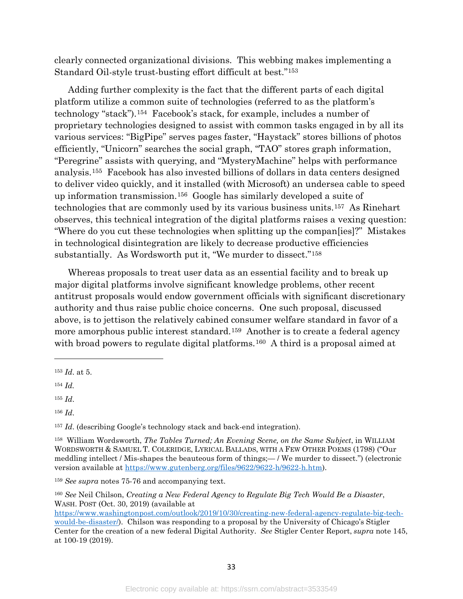clearly connected organizational divisions. This webbing makes implementing a Standard Oil-style trust-busting effort difficult at best."[153](#page-33-0)

Adding further complexity is the fact that the different parts of each digital platform utilize a common suite of technologies (referred to as the platform's technology "stack").[154](#page-33-1) Facebook's stack, for example, includes a number of proprietary technologies designed to assist with common tasks engaged in by all its various services: "BigPipe" serves pages faster, "Haystack" stores billions of photos efficiently, "Unicorn" searches the social graph, "TAO" stores graph information, "Peregrine" assists with querying, and "MysteryMachine" helps with performance analysis.[155](#page-33-2) Facebook has also invested billions of dollars in data centers designed to deliver video quickly, and it installed (with Microsoft) an undersea cable to speed up information transmission.[156](#page-33-3) Google has similarly developed a suite of technologies that are commonly used by its various business units.[157](#page-33-4) As Rinehart observes, this technical integration of the digital platforms raises a vexing question: "Where do you cut these technologies when splitting up the compan[ies]?" Mistakes in technological disintegration are likely to decrease productive efficiencies substantially. As Wordsworth put it, "We murder to dissect."[158](#page-33-5)

Whereas proposals to treat user data as an essential facility and to break up major digital platforms involve significant knowledge problems, other recent antitrust proposals would endow government officials with significant discretionary authority and thus raise public choice concerns. One such proposal, discussed above, is to jettison the relatively cabined consumer welfare standard in favor of a more amorphous public interest standard.[159](#page-33-6) Another is to create a federal agency with broad powers to regulate digital platforms.<sup>[160](#page-33-7)</sup> A third is a proposal aimed at

<span id="page-33-1"></span><sup>154</sup> *Id.*

 $\overline{a}$ 

<span id="page-33-2"></span><sup>155</sup> *Id*.

<span id="page-33-3"></span><sup>156</sup> *Id*.

<span id="page-33-4"></span><sup>157</sup> *Id*. (describing Google's technology stack and back-end integration).

<span id="page-33-0"></span><sup>153</sup> *Id*. at 5.

<span id="page-33-5"></span><sup>158</sup> William Wordsworth, *The Tables Turned; An Evening Scene, on the Same Subject*, in WILLIAM WORDSWORTH & SAMUEL T. COLERIDGE, LYRICAL BALLADS, WITH A FEW OTHER POEMS (1798) ("Our meddling intellect / Mis-shapes the beauteous form of things;— / We murder to dissect.") (electronic version available at [https://www.gutenberg.org/files/9622/9622-h/9622-h.htm\)](https://www.gutenberg.org/files/9622/9622-h/9622-h.htm).

<span id="page-33-6"></span><sup>159</sup> *See supra* notes [75-](#page-16-8)[76](#page-16-9) and accompanying text.

<span id="page-33-7"></span><sup>160</sup> *See* Neil Chilson, *Creating a New Federal Agency to Regulate Big Tech Would Be a Disaster*, WASH. POST (Oct. 30, 2019) (available at

[https://www.washingtonpost.com/outlook/2019/10/30/creating-new-federal-agency-regulate-big-tech](https://www.washingtonpost.com/outlook/2019/10/30/creating-new-federal-agency-regulate-big-tech-would-be-disaster/)[would-be-disaster/\)](https://www.washingtonpost.com/outlook/2019/10/30/creating-new-federal-agency-regulate-big-tech-would-be-disaster/). Chilson was responding to a proposal by the University of Chicago's Stigler Center for the creation of a new federal Digital Authority. *See* Stigler Center Report, *supra* note [145,](#page-31-4) at 100-19 (2019).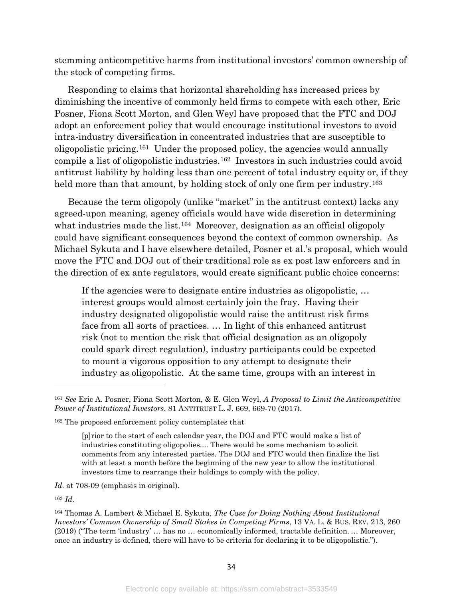stemming anticompetitive harms from institutional investors' common ownership of the stock of competing firms.

Responding to claims that horizontal shareholding has increased prices by diminishing the incentive of commonly held firms to compete with each other, Eric Posner, Fiona Scott Morton, and Glen Weyl have proposed that the FTC and DOJ adopt an enforcement policy that would encourage institutional investors to avoid intra-industry diversification in concentrated industries that are susceptible to oligopolistic pricing.[161](#page-34-0) Under the proposed policy, the agencies would annually compile a list of oligopolistic industries.[162](#page-34-1) Investors in such industries could avoid antitrust liability by holding less than one percent of total industry equity or, if they held more than that amount, by holding stock of only one firm per industry.<sup>[163](#page-34-2)</sup>

<span id="page-34-4"></span>Because the term oligopoly (unlike "market" in the antitrust context) lacks any agreed-upon meaning, agency officials would have wide discretion in determining what industries made the list.<sup>164</sup> Moreover, designation as an official oligopoly could have significant consequences beyond the context of common ownership. As Michael Sykuta and I have elsewhere detailed, Posner et al.'s proposal, which would move the FTC and DOJ out of their traditional role as ex post law enforcers and in the direction of ex ante regulators, would create significant public choice concerns:

If the agencies were to designate entire industries as oligopolistic, … interest groups would almost certainly join the fray. Having their industry designated oligopolistic would raise the antitrust risk firms face from all sorts of practices. … In light of this enhanced antitrust risk (not to mention the risk that official designation as an oligopoly could spark direct regulation), industry participants could be expected to mount a vigorous opposition to any attempt to designate their industry as oligopolistic. At the same time, groups with an interest in

*Id*. at 708-09 (emphasis in original).

<span id="page-34-2"></span><sup>163</sup> *Id*.

<span id="page-34-0"></span><sup>161</sup> *See* Eric A. Posner, Fiona Scott Morton, & E. Glen Weyl, *A Proposal to Limit the Anticompetitive Power of Institutional Investors*, 81 ANTITRUST L. J. 669, 669-70 (2017).

<span id="page-34-1"></span><sup>162</sup> The proposed enforcement policy contemplates that

<sup>[</sup>p]rior to the start of each calendar year, the DOJ and FTC would make a list of industries constituting oligopolies.... There would be some mechanism to solicit comments from any interested parties. The DOJ and FTC would then finalize the list with at least a month before the beginning of the new year to allow the institutional investors time to rearrange their holdings to comply with the policy.

<span id="page-34-3"></span><sup>164</sup> Thomas A. Lambert & Michael E. Sykuta, *The Case for Doing Nothing About Institutional Investors' Common Ownership of Small Stakes in Competing Firms*, 13 VA. L. & BUS. REV. 213, 260 (2019) ("The term 'industry' … has no … economically informed, tractable definition. … Moreover, once an industry is defined, there will have to be criteria for declaring it to be oligopolistic.").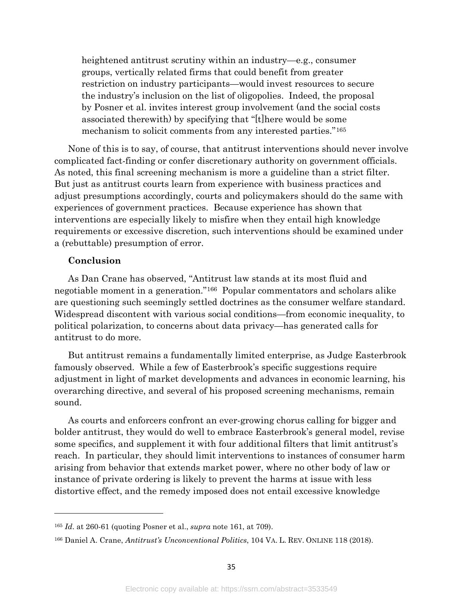heightened antitrust scrutiny within an industry—e.g., consumer groups, vertically related firms that could benefit from greater restriction on industry participants—would invest resources to secure the industry's inclusion on the list of oligopolies. Indeed, the proposal by Posner et al. invites interest group involvement (and the social costs associated therewith) by specifying that "[t]here would be some mechanism to solicit comments from any interested parties."[165](#page-35-0)

None of this is to say, of course, that antitrust interventions should never involve complicated fact-finding or confer discretionary authority on government officials. As noted, this final screening mechanism is more a guideline than a strict filter. But just as antitrust courts learn from experience with business practices and adjust presumptions accordingly, courts and policymakers should do the same with experiences of government practices. Because experience has shown that interventions are especially likely to misfire when they entail high knowledge requirements or excessive discretion, such interventions should be examined under a (rebuttable) presumption of error.

#### **Conclusion**

 $\overline{a}$ 

As Dan Crane has observed, "Antitrust law stands at its most fluid and negotiable moment in a generation."[166](#page-35-1) Popular commentators and scholars alike are questioning such seemingly settled doctrines as the consumer welfare standard. Widespread discontent with various social conditions—from economic inequality, to political polarization, to concerns about data privacy—has generated calls for antitrust to do more.

But antitrust remains a fundamentally limited enterprise, as Judge Easterbrook famously observed. While a few of Easterbrook's specific suggestions require adjustment in light of market developments and advances in economic learning, his overarching directive, and several of his proposed screening mechanisms, remain sound.

As courts and enforcers confront an ever-growing chorus calling for bigger and bolder antitrust, they would do well to embrace Easterbrook's general model, revise some specifics, and supplement it with four additional filters that limit antitrust's reach. In particular, they should limit interventions to instances of consumer harm arising from behavior that extends market power, where no other body of law or instance of private ordering is likely to prevent the harms at issue with less distortive effect, and the remedy imposed does not entail excessive knowledge

<span id="page-35-0"></span><sup>165</sup> *Id*. at 260-61 (quoting Posner et al., *supra* note [161,](#page-34-4) at 709).

<span id="page-35-1"></span><sup>166</sup> Daniel A. Crane, *Antitrust's Unconventional Politics*, 104 VA. L. REV. ONLINE 118 (2018).